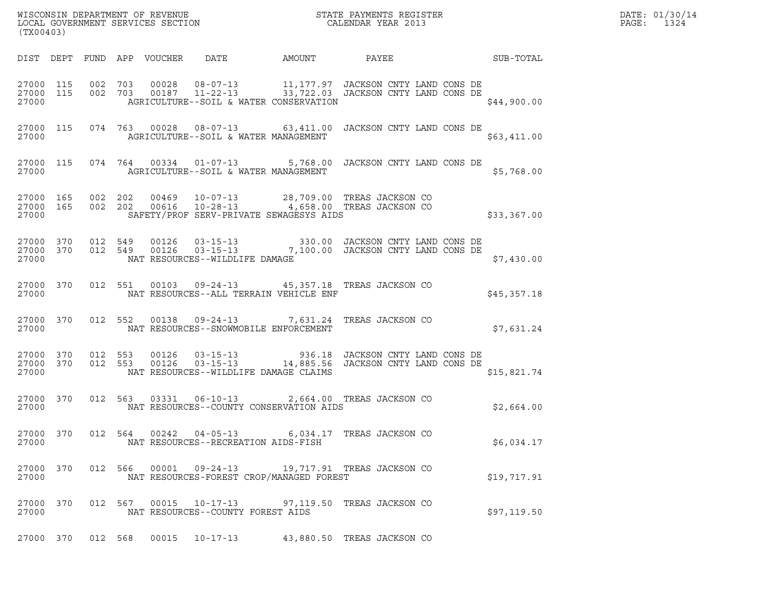| (TX00403)                       |         |         |       |                                                        | WISCONSIN DEPARTMENT OF REVENUE ${\small \begin{array}{ll} \text{MISCONS} \\\text{LOCAL GoveRNMENT S ERVICES SECTION \end{array}} {\small \begin{array}{ll} \text{STATE PAYMENT S REGISTER} \end{array}}$          |             | DATE: 01/30/14<br>$\mathtt{PAGE:}$<br>1324 |
|---------------------------------|---------|---------|-------|--------------------------------------------------------|--------------------------------------------------------------------------------------------------------------------------------------------------------------------------------------------------------------------|-------------|--------------------------------------------|
|                                 |         |         |       |                                                        | DIST DEPT FUND APP VOUCHER DATE AMOUNT PAYEE TO SUB-TOTAL                                                                                                                                                          |             |                                            |
|                                 |         |         |       |                                                        | $\begin{array}{cccccc} 27000 & 115 & 002 & 703 & 00028 & 08-07-13 & 11,177.97 & JACKSON CNTY LAND CONS DE \\ 27000 & 115 & 002 & 703 & 00187 & 11-22-13 & 33,722.03 & JACKSON CNTY LAND CONS DE \end{array}$       | \$44,900.00 |                                            |
|                                 |         |         |       |                                                        | 27000 115 074 763 00028 08-07-13 63,411.00 JACKSON CNTY LAND CONS DE                                                                                                                                               | \$63,411.00 |                                            |
|                                 |         |         |       |                                                        | 27000 115 074 764 00334 01-07-13 5,768.00 JACKSON CNTY LAND CONS DE                                                                                                                                                | \$5,768.00  |                                            |
| 27000                           |         |         |       | SAFETY/PROF SERV-PRIVATE SEWAGESYS AIDS                | $\begin{array}{cccccccc} 27000& 165& 002& 202& 00469& 10-07-13& 28,709.00 & \text{TREAS JACKSON CO} \\ 27000& 165& 002& 202& 00616& 10-28-13& 4,658.00 & \text{TREAS JACKSON CO} \end{array}$                      | \$33,367.00 |                                            |
| 27000                           |         |         |       | NAT RESOURCES--WILDLIFE DAMAGE                         | $\begin{array}{cccccccc} 27000 & 370 & 012 & 549 & 00126 & 03-15-13 & & & 330.00 & JACKSON CNTY LAND CONS DE \\ 27000 & 370 & 012 & 549 & 00126 & 03-15-13 & & & 7,100.00 & JACKSON CNTY LAND CONS DE \end{array}$ | \$7,430.00  |                                            |
| 27000 370<br>27000              |         |         |       | NAT RESOURCES--ALL TERRAIN VEHICLE ENF                 | 012 551 00103 09-24-13 45,357.18 TREAS JACKSON CO                                                                                                                                                                  | \$45,357.18 |                                            |
| 27000 370<br>27000              |         |         |       | NAT RESOURCES--SNOWMOBILE ENFORCEMENT                  | 012 552 00138 09-24-13 7,631.24 TREAS JACKSON CO                                                                                                                                                                   | \$7,631.24  |                                            |
| 27000 370<br>27000 370<br>27000 |         |         |       | NAT RESOURCES--WILDLIFE DAMAGE CLAIMS                  | 012 553 00126 03-15-13 936.18 JACKSON CNTY LAND CONS DE 012 553 00126 03-15-13 14,885.56 JACKSON CNTY LAND CONS DE                                                                                                 | \$15,821.74 |                                            |
| 27000 370<br>27000              |         |         |       | NAT RESOURCES--COUNTY CONSERVATION AIDS                | 012 563 03331 06-10-13 2,664.00 TREAS JACKSON CO                                                                                                                                                                   | \$2,664.00  |                                            |
| 27000 370<br>27000              |         | 012 564 |       | 00242  04-05-13<br>NAT RESOURCES--RECREATION AIDS-FISH | 6,034.17 TREAS JACKSON CO                                                                                                                                                                                          | \$6,034.17  |                                            |
| 27000 370<br>27000              |         | 012 566 | 00001 | 09-24-13<br>NAT RESOURCES-FOREST CROP/MANAGED FOREST   | 19,717.91 TREAS JACKSON CO                                                                                                                                                                                         | \$19,717.91 |                                            |
| 27000 370<br>27000              |         | 012 567 | 00015 | $10 - 17 - 13$<br>NAT RESOURCES--COUNTY FOREST AIDS    | 97,119.50 TREAS JACKSON CO                                                                                                                                                                                         | \$97,119.50 |                                            |
| 27000 370                       | 012 568 |         | 00015 | $10 - 17 - 13$                                         | 43,880.50 TREAS JACKSON CO                                                                                                                                                                                         |             |                                            |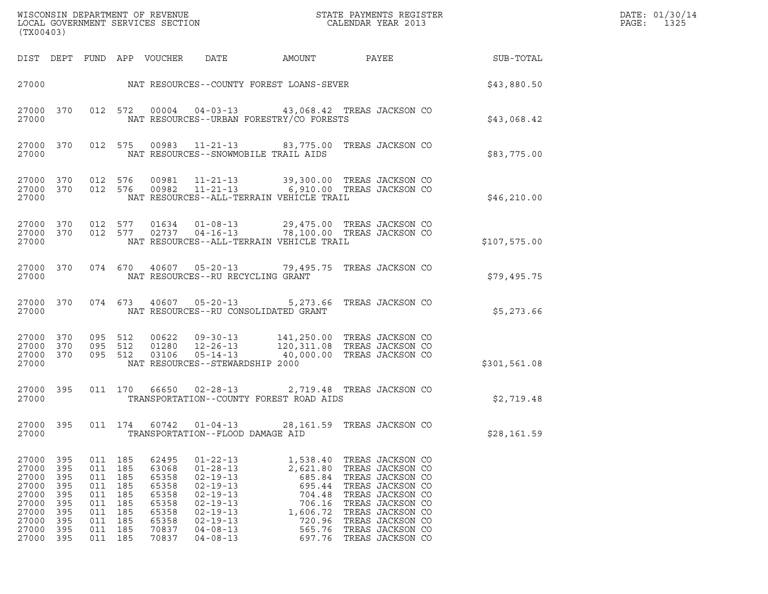| (TX00403)                                                                              |                                                                    |                                                                    |                                                                    |                                                                                        |                                                                                                                                                                                  |                                                                                                        |                                                                                                                                                                                                      |                  | DATE: 01/30/14<br>$\mathtt{PAGE}$ :<br>1325 |
|----------------------------------------------------------------------------------------|--------------------------------------------------------------------|--------------------------------------------------------------------|--------------------------------------------------------------------|----------------------------------------------------------------------------------------|----------------------------------------------------------------------------------------------------------------------------------------------------------------------------------|--------------------------------------------------------------------------------------------------------|------------------------------------------------------------------------------------------------------------------------------------------------------------------------------------------------------|------------------|---------------------------------------------|
|                                                                                        |                                                                    |                                                                    |                                                                    | DIST DEPT FUND APP VOUCHER                                                             | DATE                                                                                                                                                                             | AMOUNT                                                                                                 | PAYEE                                                                                                                                                                                                | <b>SUB-TOTAL</b> |                                             |
| 27000                                                                                  |                                                                    |                                                                    |                                                                    |                                                                                        | NAT RESOURCES--COUNTY FOREST LOANS-SEVER                                                                                                                                         |                                                                                                        |                                                                                                                                                                                                      | \$43,880.50      |                                             |
| 27000                                                                                  | 27000 370                                                          |                                                                    |                                                                    |                                                                                        | NAT RESOURCES--URBAN FORESTRY/CO FORESTS                                                                                                                                         |                                                                                                        | 012 572 00004 04-03-13 43,068.42 TREAS JACKSON CO                                                                                                                                                    | \$43,068.42      |                                             |
| 27000                                                                                  | 27000 370                                                          |                                                                    | 012 575                                                            |                                                                                        | NAT RESOURCES--SNOWMOBILE TRAIL AIDS                                                                                                                                             |                                                                                                        | 00983  11-21-13  83, 775.00  TREAS JACKSON CO                                                                                                                                                        | \$83,775.00      |                                             |
| 27000 370<br>27000                                                                     | 27000 370                                                          |                                                                    |                                                                    |                                                                                        | NAT RESOURCES--ALL-TERRAIN VEHICLE TRAIL                                                                                                                                         |                                                                                                        | 012 576 00981 11-21-13 39,300.00 TREAS JACKSON CO<br>012 576 00982 11-21-13 6,910.00 TREAS JACKSON CO                                                                                                | \$46, 210.00     |                                             |
| 27000                                                                                  | 27000 370<br>27000 370                                             |                                                                    |                                                                    |                                                                                        | NAT RESOURCES--ALL-TERRAIN VEHICLE TRAIL                                                                                                                                         |                                                                                                        | 012 577 01634 01-08-13 29,475.00 TREAS JACKSON CO<br>012 577 02737 04-16-13 78,100.00 TREAS JACKSON CO                                                                                               | \$107,575.00     |                                             |
| 27000                                                                                  | 27000 370                                                          |                                                                    |                                                                    |                                                                                        | NAT RESOURCES--RU RECYCLING GRANT                                                                                                                                                |                                                                                                        | 074 670 40607 05-20-13 79,495.75 TREAS JACKSON CO                                                                                                                                                    | \$79,495.75      |                                             |
| 27000                                                                                  | 27000 370                                                          |                                                                    |                                                                    |                                                                                        | NAT RESOURCES--RU CONSOLIDATED GRANT                                                                                                                                             |                                                                                                        | 074 673 40607 05-20-13 5,273.66 TREAS JACKSON CO                                                                                                                                                     | \$5,273.66       |                                             |
| 27000 370<br>27000 370<br>27000                                                        | 27000 370                                                          | 095 512<br>095 512<br>095 512                                      |                                                                    | 03106                                                                                  | $00622$ $09-30-13$<br>01280  12-26-13<br>$05 - 14 - 13$<br>NAT RESOURCES--STEWARDSHIP 2000                                                                                       |                                                                                                        | 141,250.00 TREAS JACKSON CO<br>120,311.08 TREAS JACKSON CO<br>40,000.00 TREAS JACKSON CO                                                                                                             | \$301,561.08     |                                             |
| 27000                                                                                  | 27000 395                                                          |                                                                    |                                                                    |                                                                                        | 011 170 66650 02-28-13<br>TRANSPORTATION--COUNTY FOREST ROAD AIDS                                                                                                                |                                                                                                        | 2,719.48 TREAS JACKSON CO                                                                                                                                                                            | \$2,719.48       |                                             |
| 27000<br>27000                                                                         | 395                                                                |                                                                    | 011 174                                                            | 60742                                                                                  | $01 - 04 - 13$<br>TRANSPORTATION--FLOOD DAMAGE AID                                                                                                                               |                                                                                                        | 28,161.59 TREAS JACKSON CO                                                                                                                                                                           | \$28,161.59      |                                             |
| 27000<br>27000<br>27000<br>27000<br>27000<br>27000<br>27000<br>27000<br>27000<br>27000 | 395<br>395<br>395<br>395<br>395<br>395<br>395<br>395<br>395<br>395 | 011<br>011<br>011<br>011<br>011<br>011<br>011<br>011<br>011<br>011 | 185<br>185<br>185<br>185<br>185<br>185<br>185<br>185<br>185<br>185 | 62495<br>63068<br>65358<br>65358<br>65358<br>65358<br>65358<br>65358<br>70837<br>70837 | $01 - 22 - 13$<br>$01 - 28 - 13$<br>$02 - 19 - 13$<br>$02 - 19 - 13$<br>$02 - 19 - 13$<br>$02 - 19 - 13$<br>$02 - 19 - 13$<br>$02 - 19 - 13$<br>$04 - 08 - 13$<br>$04 - 08 - 13$ | 1,538.40<br>2,621.80<br>685.84<br>695.44<br>704.48<br>706.16<br>1,606.72<br>720.96<br>565.76<br>697.76 | TREAS JACKSON CO<br>TREAS JACKSON CO<br>TREAS JACKSON CO<br>TREAS JACKSON CO<br>TREAS JACKSON CO<br>TREAS JACKSON CO<br>TREAS JACKSON CO<br>TREAS JACKSON CO<br>TREAS JACKSON CO<br>TREAS JACKSON CO |                  |                                             |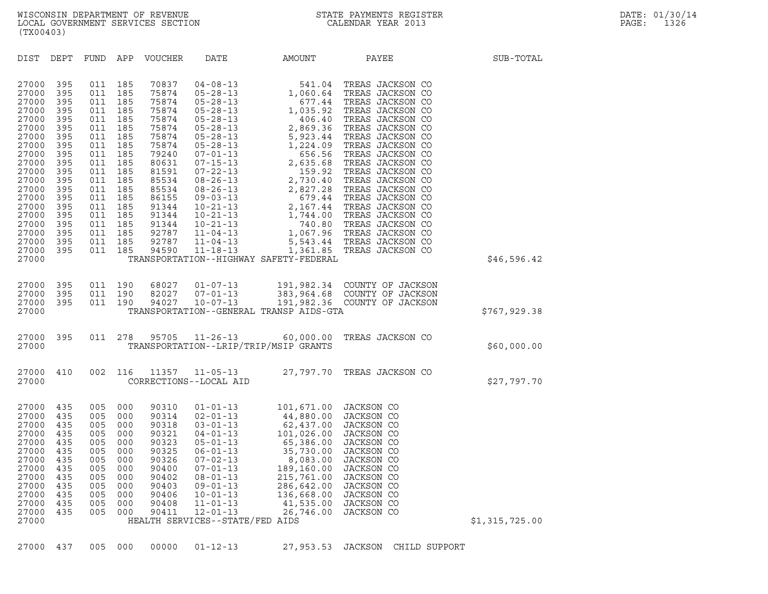| (TX00403)                                                                                                                                                                                 |                                                                                                                                          |                                                                                                                                          |                                                                                                                                          |                                                                                                                                                                                  |                                                                                                                                                                                                                                                                                                                                                                      |                                                                                                                                                                                                                                                                                                                                    |                                                                                                                                                                                                                                                                                                                                                                                                                                |                |
|-------------------------------------------------------------------------------------------------------------------------------------------------------------------------------------------|------------------------------------------------------------------------------------------------------------------------------------------|------------------------------------------------------------------------------------------------------------------------------------------|------------------------------------------------------------------------------------------------------------------------------------------|----------------------------------------------------------------------------------------------------------------------------------------------------------------------------------|----------------------------------------------------------------------------------------------------------------------------------------------------------------------------------------------------------------------------------------------------------------------------------------------------------------------------------------------------------------------|------------------------------------------------------------------------------------------------------------------------------------------------------------------------------------------------------------------------------------------------------------------------------------------------------------------------------------|--------------------------------------------------------------------------------------------------------------------------------------------------------------------------------------------------------------------------------------------------------------------------------------------------------------------------------------------------------------------------------------------------------------------------------|----------------|
| DIST                                                                                                                                                                                      | DEPT                                                                                                                                     | FUND                                                                                                                                     | APP                                                                                                                                      | VOUCHER                                                                                                                                                                          | DATE                                                                                                                                                                                                                                                                                                                                                                 | AMOUNT                                                                                                                                                                                                                                                                                                                             | PAYEE                                                                                                                                                                                                                                                                                                                                                                                                                          | SUB-TOTAL      |
| 27000<br>27000<br>27000<br>27000<br>27000<br>27000<br>27000<br>27000<br>27000<br>27000<br>27000<br>27000<br>27000<br>27000<br>27000<br>27000<br>27000<br>27000<br>27000<br>27000<br>27000 | 395<br>395<br>395<br>395<br>395<br>395<br>395<br>395<br>395<br>395<br>395<br>395<br>395<br>395<br>395<br>395<br>395<br>395<br>395<br>395 | 011<br>011<br>011<br>011<br>011<br>011<br>011<br>011<br>011<br>011<br>011<br>011<br>011<br>011<br>011<br>011<br>011<br>011<br>011<br>011 | 185<br>185<br>185<br>185<br>185<br>185<br>185<br>185<br>185<br>185<br>185<br>185<br>185<br>185<br>185<br>185<br>185<br>185<br>185<br>185 | 70837<br>75874<br>75874<br>75874<br>75874<br>75874<br>75874<br>75874<br>79240<br>80631<br>81591<br>85534<br>85534<br>86155<br>91344<br>91344<br>91344<br>92787<br>92787<br>94590 | $04 - 08 - 13$<br>$05 - 28 - 13$<br>$05 - 28 - 13$<br>$05 - 28 - 13$<br>$05 - 28 - 13$<br>$05 - 28 - 13$<br>$05 - 28 - 13$<br>$05 - 28 - 13$<br>$07 - 01 - 13$<br>$07 - 15 - 13$<br>$07 - 22 - 13$<br>$08 - 26 - 13$<br>$08 - 26 - 13$<br>$09 - 03 - 13$<br>$10 - 21 - 13$<br>$10 - 21 - 13$<br>$10 - 21 - 13$<br>$11 - 04 - 13$<br>$11 - 04 - 13$<br>$11 - 18 - 13$ | 541.04<br>1,060.64<br>677.44<br>1,035.92<br>406.40<br>2,869.36<br>5,923.44<br>1,224.09<br>656.56<br>2,635.68<br>159.92<br>2,730.40<br>2,730.40<br>2,730.48<br>2,167.44<br>2,167.44<br>1,744.00<br>740.80<br>5,543.44<br>1,744.00<br>740.80<br>5,543.44<br>1,744.00<br>740.80<br>1,361.85<br>TRANSPORTATION--HIGHWAY SAFETY-FEDERAL | TREAS JACKSON CO<br>TREAS JACKSON CO<br>TREAS JACKSON CO<br>TREAS JACKSON CO<br>TREAS JACKSON CO<br>TREAS JACKSON CO<br>TREAS JACKSON CO<br>TREAS JACKSON CO<br>TREAS JACKSON CO<br>TREAS JACKSON CO<br>TREAS JACKSON CO<br>TREAS JACKSON CO<br>TREAS JACKSON CO<br>TREAS JACKSON CO<br>TREAS JACKSON CO<br>TREAS JACKSON CO<br>TREAS JACKSON CO<br>1,067.96 TREAS JACKSON CO<br>5,543.44 TREAS JACKSON CO<br>TREAS JACKSON CO | \$46,596.42    |
|                                                                                                                                                                                           |                                                                                                                                          |                                                                                                                                          |                                                                                                                                          |                                                                                                                                                                                  |                                                                                                                                                                                                                                                                                                                                                                      |                                                                                                                                                                                                                                                                                                                                    |                                                                                                                                                                                                                                                                                                                                                                                                                                |                |
| 27000<br>27000<br>27000<br>27000                                                                                                                                                          | 395<br>395<br>395                                                                                                                        | 011<br>011<br>011                                                                                                                        | 190<br>190<br>190                                                                                                                        | 68027<br>82027<br>94027                                                                                                                                                          | $01 - 07 - 13$<br>$07 - 01 - 13$<br>$10 - 07 - 13$                                                                                                                                                                                                                                                                                                                   | 383,964.68<br>TRANSPORTATION--GENERAL TRANSP AIDS-GTA                                                                                                                                                                                                                                                                              | 191,982.34 COUNTY OF JACKSON<br>COUNTY OF JACKSON<br>191,982.36 COUNTY OF JACKSON                                                                                                                                                                                                                                                                                                                                              | \$767,929.38   |
| 27000<br>27000                                                                                                                                                                            | 395                                                                                                                                      | 011                                                                                                                                      | 278                                                                                                                                      | 95705                                                                                                                                                                            | $11 - 26 - 13$                                                                                                                                                                                                                                                                                                                                                       | 60,000.00<br>TRANSPORTATION--LRIP/TRIP/MSIP GRANTS                                                                                                                                                                                                                                                                                 | TREAS JACKSON CO                                                                                                                                                                                                                                                                                                                                                                                                               | \$60,000.00    |
| 27000<br>27000                                                                                                                                                                            | 410                                                                                                                                      | 002                                                                                                                                      | 116                                                                                                                                      | 11357                                                                                                                                                                            | $11 - 05 - 13$<br>CORRECTIONS--LOCAL AID                                                                                                                                                                                                                                                                                                                             | 27,797.70                                                                                                                                                                                                                                                                                                                          | TREAS JACKSON CO                                                                                                                                                                                                                                                                                                                                                                                                               | \$27,797.70    |
| 27000<br>27000<br>27000<br>27000<br>27000<br>27000<br>27000<br>27000<br>27000<br>27000<br>27000<br>27000<br>27000<br>27000                                                                | 435<br>435<br>435<br>435<br>435<br>435<br>435<br>435<br>435<br>435<br>435<br>435<br>435                                                  | 005<br>005<br>005<br>005<br>005<br>005<br>005<br>005<br>005<br>005<br>005<br>005<br>005                                                  | 000<br>000<br>000<br>000<br>000<br>000<br>000<br>000<br>000<br>000<br>000<br>000<br>000                                                  | 90310<br>90314<br>90318<br>90321<br>90323<br>90325<br>90326<br>90400<br>90402<br>90403<br>90406<br>90408<br>90411                                                                | $01 - 01 - 13$<br>$02 - 01 - 13$<br>$03 - 01 - 13$<br>$04 - 01 - 13$<br>$05 - 01 - 13$<br>$06 - 01 - 13$<br>$07 - 02 - 13$<br>$07 - 01 - 13$<br>$08 - 01 - 13$<br>$09 - 01 - 13$<br>$10 - 01 - 13$<br>$11 - 01 - 13$<br>$12 - 01 - 13$<br>HEALTH SERVICES--STATE/FED AIDS                                                                                            | 101,671.00<br>44,880.00<br>62,437.00<br>101,026.00<br>65,386.00<br>35,730.00<br>8,083.00<br>189,160.00<br>215,761.00<br>286,642.00<br>136,668.00<br>41,535.00<br>26,746.00                                                                                                                                                         | JACKSON CO<br>JACKSON CO<br>JACKSON CO<br>JACKSON CO<br>JACKSON CO<br>JACKSON CO<br>JACKSON CO<br>JACKSON CO<br>JACKSON CO<br>JACKSON CO<br>JACKSON CO<br>JACKSON CO<br>JACKSON CO                                                                                                                                                                                                                                             | \$1,315,725.00 |

27000 437 005 000 00000 01-12-13 27,953.53 JACKSON CHILD SUPPORT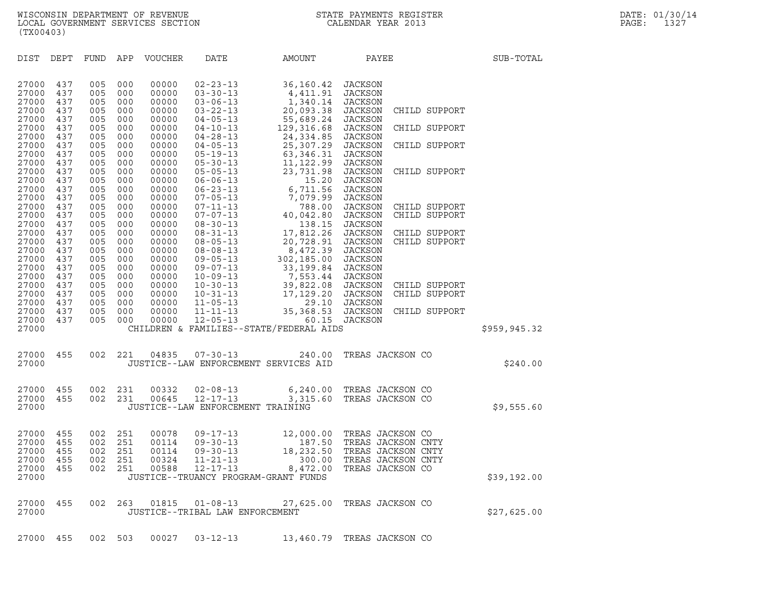| (TX00403)                        |                          |                          |                          |                                  |                                                                       |                                                                                              |                                                        |                                                                |               |
|----------------------------------|--------------------------|--------------------------|--------------------------|----------------------------------|-----------------------------------------------------------------------|----------------------------------------------------------------------------------------------|--------------------------------------------------------|----------------------------------------------------------------|---------------|
| DIST                             | DEPT                     | <b>FUND</b>              | APP                      | VOUCHER                          | DATE                                                                  | AMOUNT                                                                                       | PAYEE                                                  |                                                                | SUB-TOTAL     |
| 27000<br>27000<br>27000          | 437<br>437<br>437        | 005<br>005<br>005        | 000<br>000<br>000        | 00000<br>00000<br>00000          | $02 - 23 - 13$<br>$03 - 30 - 13$                                      | 36,160.42<br>4,411.91                                                                        | <b>JACKSON</b><br>JACKSON<br><b>JACKSON</b>            |                                                                |               |
| 27000<br>27000                   | 437<br>437               | 005<br>005               | 000<br>000               | 00000<br>00000                   | $03 - 06 - 13$<br>$03 - 22 - 13$<br>$04 - 05 - 13$                    | 1,340.14<br>20,093.38<br>55,689.24                                                           | JACKSON<br>JACKSON                                     | CHILD SUPPORT                                                  |               |
| 27000                            | 437                      | 005                      | 000                      | 00000                            | $04 - 10 - 13$                                                        | 129,316.68                                                                                   | JACKSON                                                | CHILD SUPPORT                                                  |               |
| 27000<br>27000<br>27000<br>27000 | 437<br>437<br>437<br>437 | 005<br>005<br>005<br>005 | 000<br>000<br>000<br>000 | 00000<br>00000<br>00000<br>00000 | $04 - 28 - 13$<br>$04 - 05 - 13$<br>$05 - 19 - 13$<br>$05 - 30 - 13$  | 24,334.85<br>25,307.29<br>63,346.31<br>11,122.99                                             | JACKSON<br>JACKSON<br><b>JACKSON</b><br>JACKSON        | CHILD SUPPORT                                                  |               |
| 27000<br>27000<br>27000          | 437<br>437<br>437        | 005<br>005<br>005        | 000<br>000<br>000        | 00000<br>00000<br>00000          | $05 - 05 - 13$<br>$06 - 06 - 13$<br>$06 - 23 - 13$                    | 23,731.98<br>15.20<br>6,711.56                                                               | <b>JACKSON</b><br>JACKSON<br><b>JACKSON</b>            | CHILD SUPPORT                                                  |               |
| 27000<br>27000<br>27000          | 437<br>437<br>437        | 005<br>005<br>005        | 000<br>000<br>000        | 00000<br>00000<br>00000          | $07 - 05 - 13$<br>$07 - 11 - 13$<br>$07 - 07 - 13$                    | 7,079.99<br>788.00<br>40,042.80                                                              | JACKSON<br><b>JACKSON</b><br>JACKSON                   | CHILD SUPPORT<br>CHILD SUPPORT                                 |               |
| 27000<br>27000<br>27000<br>27000 | 437<br>437<br>437<br>437 | 005<br>005<br>005<br>005 | 000<br>000<br>000<br>000 | 00000<br>00000<br>00000<br>00000 | $08 - 30 - 13$<br>$08 - 31 - 13$<br>$08 - 05 - 13$<br>$08 - 08 - 13$  | 138.15<br>17,812.26<br>20,728.91<br>8,472.39                                                 | <b>JACKSON</b><br>JACKSON<br>JACKSON<br><b>JACKSON</b> | CHILD SUPPORT<br>CHILD SUPPORT                                 |               |
| 27000<br>27000<br>27000          | 437<br>437<br>437        | 005<br>005<br>005        | 000<br>000<br>000        | 00000<br>00000<br>00000          | $09 - 05 - 13$<br>$09 - 07 - 13$<br>$10 - 09 - 13$                    | 302,185.00<br>33, 199.84<br>7, 553.44<br>39, 822.08<br>17, 129.20<br>29.10                   | <b>JACKSON</b><br>JACKSON<br><b>JACKSON</b>            |                                                                |               |
| 27000<br>27000<br>27000          | 437<br>437<br>437        | 005<br>005<br>005        | 000<br>000<br>000        | 00000<br>00000<br>00000          | $10 - 30 - 13$<br>$10 - 31 - 13$<br>$11 - 05 - 13$                    |                                                                                              | JACKSON<br>JACKSON<br>JACKSON                          | CHILD SUPPORT<br>CHILD SUPPORT                                 |               |
| 27000<br>27000                   | 437<br>437               | 005<br>005               | 000<br>000               | 00000<br>00000                   | $11 - 11 - 13$<br>$12 - 05 - 13$                                      | 35, 368.53<br>60.15                                                                          | JACKSON<br>JACKSON                                     | CHILD SUPPORT                                                  |               |
| 27000                            |                          |                          |                          |                                  |                                                                       | CHILDREN & FAMILIES--STATE/FEDERAL AIDS                                                      |                                                        |                                                                | \$959, 945.32 |
| 27000<br>27000                   | 455                      | 002                      | 221                      | 04835                            | $07 - 30 - 13$                                                        | 240.00<br>JUSTICE--LAW ENFORCEMENT SERVICES AID                                              |                                                        | TREAS JACKSON CO                                               | \$240.00      |
| 27000<br>27000<br>27000          | 455<br>455               | 002<br>002               | 231<br>231               | 00332<br>00645                   | $02 - 08 - 13$<br>$12 - 17 - 13$<br>JUSTICE--LAW ENFORCEMENT TRAINING | 6, 240.00<br>3,315.60                                                                        | TREAS JACKSON CO                                       | TREAS JACKSON CO                                               | \$9,555.60    |
|                                  |                          |                          |                          |                                  |                                                                       |                                                                                              |                                                        |                                                                |               |
| 27000<br>27000<br>27000<br>27000 | 455<br>455<br>455<br>455 | 002<br>002<br>002<br>002 | 251<br>251<br>251<br>251 | 00078<br>00114<br>00114<br>00324 | $09 - 17 - 13$<br>$09 - 30 - 13$<br>$09 - 30 - 13$<br>$11 - 21 - 13$  | 12,000.00<br>187.50<br>18,232.50<br>300.00                                                   | TREAS JACKSON CO                                       | TREAS JACKSON CNTY<br>TREAS JACKSON CNTY<br>TREAS JACKSON CNTY |               |
| 27000 455<br>27000               |                          |                          |                          |                                  |                                                                       | 002  251  00588  12-17-13  8,472.00 TREAS JACKSON CO<br>JUSTICE--TRUANCY PROGRAM-GRANT FUNDS |                                                        |                                                                | \$39,192.00   |
| 27000<br>27000                   | 455                      |                          | 002 263                  | 01815                            | $01 - 08 - 13$<br>JUSTICE--TRIBAL LAW ENFORCEMENT                     | 27,625.00 TREAS JACKSON CO                                                                   |                                                        |                                                                | \$27,625.00   |
| 27000                            | 455                      |                          | 002 503                  | 00027                            | $03 - 12 - 13$                                                        | 13,460.79 TREAS JACKSON CO                                                                   |                                                        |                                                                |               |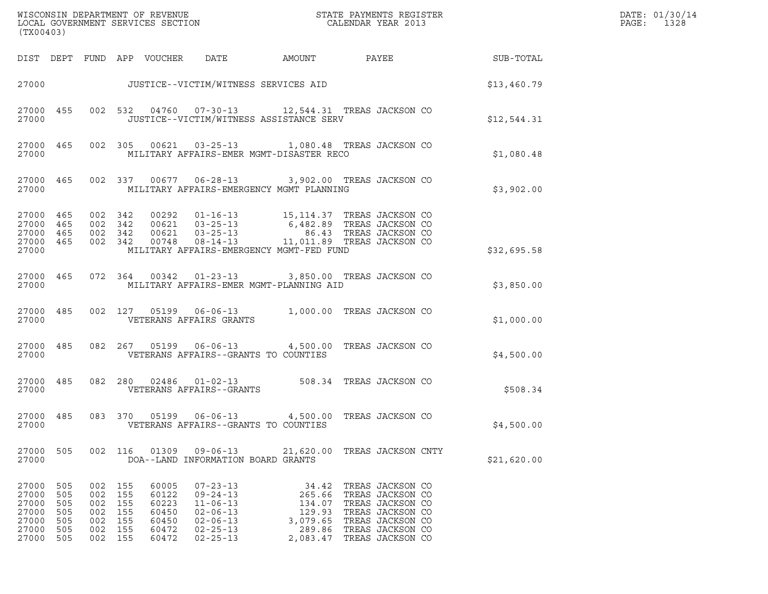| (TX00403)                                                   |                                               |                                                                           |                    |                                                             |                                                                                                                            |                                                                                                                                                                                                                                                                                           |                                                                                                                                                                          |                        | DATE: 01/30/14<br>PAGE:<br>1328 |
|-------------------------------------------------------------|-----------------------------------------------|---------------------------------------------------------------------------|--------------------|-------------------------------------------------------------|----------------------------------------------------------------------------------------------------------------------------|-------------------------------------------------------------------------------------------------------------------------------------------------------------------------------------------------------------------------------------------------------------------------------------------|--------------------------------------------------------------------------------------------------------------------------------------------------------------------------|------------------------|---------------------------------|
|                                                             |                                               |                                                                           |                    |                                                             | DIST DEPT FUND APP VOUCHER DATE                                                                                            |                                                                                                                                                                                                                                                                                           |                                                                                                                                                                          | AMOUNT PAYEE SUB-TOTAL |                                 |
|                                                             |                                               |                                                                           |                    |                                                             |                                                                                                                            | 27000 JUSTICE--VICTIM/WITNESS SERVICES AID                                                                                                                                                                                                                                                |                                                                                                                                                                          | \$13,460.79            |                                 |
| 27000                                                       | 27000 455                                     |                                                                           |                    |                                                             |                                                                                                                            | 002 532 04760 07-30-13 12,544.31 TREAS JACKSON CO<br>JUSTICE--VICTIM/WITNESS ASSISTANCE SERV                                                                                                                                                                                              |                                                                                                                                                                          | \$12,544.31            |                                 |
| 27000                                                       |                                               |                                                                           |                    |                                                             |                                                                                                                            | 27000 465 002 305 00621 03-25-13 1,080.48 TREAS JACKSON CO<br>MILITARY AFFAIRS-EMER MGMT-DISASTER RECO                                                                                                                                                                                    |                                                                                                                                                                          | \$1,080.48             |                                 |
| 27000                                                       | 27000 465                                     |                                                                           |                    |                                                             |                                                                                                                            | 002 337 00677 06-28-13 3,902.00 TREAS JACKSON CO<br>MILITARY AFFAIRS-EMERGENCY MGMT PLANNING                                                                                                                                                                                              |                                                                                                                                                                          | \$3,902.00             |                                 |
| 27000 465<br>27000 465<br>27000 465<br>27000                | 27000 465                                     | 002 342<br>002 342                                                        | 002 342<br>002 342 |                                                             |                                                                                                                            | $\begin{tabular}{cccc} 0.0292 & 01-16-13 & 15,114.37 & TREAS JACKSON CO \\ 0.0621 & 03-25-13 & 6,482.89 & TREAS JACKSON CO \\ 0.0621 & 03-25-13 & 86.43 & TREAS JACKSON CO \\ 0.0748 & 08-14-13 & 11,011.89 & TREAS JACKSON CO \end{tabular}$<br>MILITARY AFFAIRS-EMERGENCY MGMT-FED FUND |                                                                                                                                                                          | \$32,695.58            |                                 |
| 27000                                                       |                                               |                                                                           |                    |                                                             |                                                                                                                            | 27000 465 072 364 00342 01-23-13 3,850.00 TREAS JACKSON CO<br>MILITARY AFFAIRS-EMER MGMT-PLANNING AID                                                                                                                                                                                     |                                                                                                                                                                          | \$3,850.00             |                                 |
| 27000                                                       | 27000 485                                     |                                                                           |                    |                                                             | VETERANS AFFAIRS GRANTS                                                                                                    | 002 127 05199 06-06-13 1,000.00 TREAS JACKSON CO                                                                                                                                                                                                                                          |                                                                                                                                                                          | \$1,000.00             |                                 |
| 27000                                                       |                                               |                                                                           |                    |                                                             | VETERANS AFFAIRS--GRANTS TO COUNTIES                                                                                       | 27000 485 082 267 05199 06-06-13 4,500.00 TREAS JACKSON CO                                                                                                                                                                                                                                |                                                                                                                                                                          | \$4,500.00             |                                 |
| 27000                                                       |                                               |                                                                           |                    |                                                             | VETERANS AFFAIRS--GRANTS                                                                                                   | 27000 485 082 280 02486 01-02-13 508.34 TREAS JACKSON CO                                                                                                                                                                                                                                  |                                                                                                                                                                          | \$508.34               |                                 |
| 27000                                                       |                                               |                                                                           |                    |                                                             | VETERANS AFFAIRS--GRANTS TO COUNTIES                                                                                       | 27000 485 083 370 05199 06-06-13 4,500.00 TREAS JACKSON CO                                                                                                                                                                                                                                |                                                                                                                                                                          | \$4,500.00             |                                 |
| 27000 505<br>27000                                          |                                               |                                                                           |                    |                                                             | DOA--LAND INFORMATION BOARD GRANTS                                                                                         | 002 116 01309 09-06-13 21,620.00 TREAS JACKSON CNTY                                                                                                                                                                                                                                       |                                                                                                                                                                          | \$21,620.00            |                                 |
| 27000<br>27000<br>27000<br>27000<br>27000<br>27000<br>27000 | 505<br>505<br>505<br>505<br>505<br>505<br>505 | 002 155<br>002 155<br>002 155<br>002 155<br>002 155<br>002 155<br>002 155 |                    | 60005<br>60122<br>60223<br>60450<br>60450<br>60472<br>60472 | $07 - 23 - 13$<br>$09 - 24 - 13$<br>$11 - 06 - 13$<br>$02 - 06 - 13$<br>$02 - 06 - 13$<br>$02 - 25 - 13$<br>$02 - 25 - 13$ | 34.42<br>265.66<br>134.07                                                                                                                                                                                                                                                                 | TREAS JACKSON CO<br>TREAS JACKSON CO<br>TREAS JACKSON CO<br>129.93 TREAS JACKSON CO<br>3,079.65 TREAS JACKSON CO<br>289.86 TREAS JACKSON CO<br>2,083.47 TREAS JACKSON CO |                        |                                 |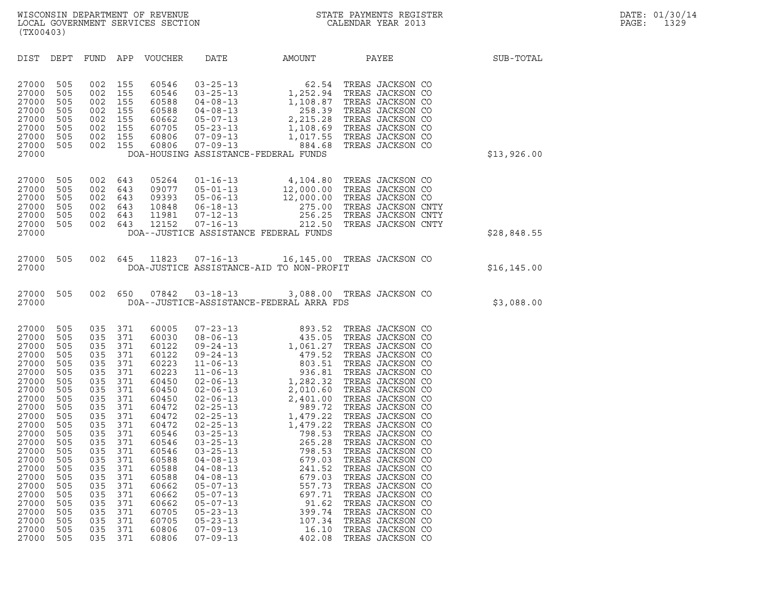| (TX00403)                                                                                                                                                                                                                                                                                                                                                                                                                                                                                                                                                                                   |                                                                                                                                                                                                                                                                                                                                                                                                              |                                                                                                                                                                                                                                                                                                                                                                                                                                                                                                                                                                                                                                                                                                                                                            |                                                                                                                                                                                                                                                                                                                                                                                                                                                                                                                  |              |
|---------------------------------------------------------------------------------------------------------------------------------------------------------------------------------------------------------------------------------------------------------------------------------------------------------------------------------------------------------------------------------------------------------------------------------------------------------------------------------------------------------------------------------------------------------------------------------------------|--------------------------------------------------------------------------------------------------------------------------------------------------------------------------------------------------------------------------------------------------------------------------------------------------------------------------------------------------------------------------------------------------------------|------------------------------------------------------------------------------------------------------------------------------------------------------------------------------------------------------------------------------------------------------------------------------------------------------------------------------------------------------------------------------------------------------------------------------------------------------------------------------------------------------------------------------------------------------------------------------------------------------------------------------------------------------------------------------------------------------------------------------------------------------------|------------------------------------------------------------------------------------------------------------------------------------------------------------------------------------------------------------------------------------------------------------------------------------------------------------------------------------------------------------------------------------------------------------------------------------------------------------------------------------------------------------------|--------------|
| DIST<br>DEPT<br>FUND                                                                                                                                                                                                                                                                                                                                                                                                                                                                                                                                                                        | APP<br>VOUCHER                                                                                                                                                                                                                                                                                                                                                                                               | DATE<br>AMOUNT                                                                                                                                                                                                                                                                                                                                                                                                                                                                                                                                                                                                                                                                                                                                             | PAYEE                                                                                                                                                                                                                                                                                                                                                                                                                                                                                                            | SUB-TOTAL    |
| 27000<br>505<br>002<br>27000<br>505<br>002<br>27000<br>505<br>002<br>27000<br>505<br>002<br>27000<br>505<br>002<br>27000<br>505<br>002<br>27000<br>505<br>002<br>27000<br>505<br>002<br>27000                                                                                                                                                                                                                                                                                                                                                                                               | 155<br>60546<br>155<br>60546<br>155<br>60588<br>155<br>60588<br>155<br>60662<br>155<br>60705<br>155<br>60806<br>155<br>60806                                                                                                                                                                                                                                                                                 | $1,252.94$<br>$1,252.94$<br>$03 - 25 - 13$<br>$03 - 25 - 13$<br>$04 - 08 - 13$<br>1,108.87<br>$04 - 08 - 13$<br>258.39<br>2,215.28<br>$05 - 07 - 13$<br>$05 - 23 - 13$<br>1,108.69<br>$07 - 09 - 13$<br>$07 - 09 - 13$<br>884.68<br>DOA-HOUSING ASSISTANCE-FEDERAL FUNDS                                                                                                                                                                                                                                                                                                                                                                                                                                                                                   | TREAS JACKSON CO<br>TREAS JACKSON CO<br>TREAS JACKSON CO<br>TREAS JACKSON CO<br>TREAS JACKSON CO<br>TREAS JACKSON CO<br>1,017.55 TREAS JACKSON CO<br>TREAS JACKSON CO                                                                                                                                                                                                                                                                                                                                            | \$13,926.00  |
| 27000<br>505<br>27000<br>505<br>002<br>27000<br>505<br>002<br>27000<br>505<br>002<br>27000<br>505<br>002<br>27000<br>505<br>002<br>27000                                                                                                                                                                                                                                                                                                                                                                                                                                                    | 002 643<br>05264<br>643<br>09077<br>643<br>09393<br>643<br>10848<br>643<br>11981<br>12152<br>643                                                                                                                                                                                                                                                                                                             | $01 - 16 - 13$<br>4,104.80<br>$05 - 01 - 13$<br>$05 - 06 - 13$<br>$\frac{12}{2}$<br>$06 - 18 - 13$<br>275.00<br>256.25<br>$07 - 12 - 13$<br>$07 - 16 - 13$<br>212.50<br>DOA--JUSTICE ASSISTANCE FEDERAL FUNDS                                                                                                                                                                                                                                                                                                                                                                                                                                                                                                                                              | TREAS JACKSON CO<br>12,000.00 TREAS JACKSON CO<br>12,000.00 TREAS JACKSON CO<br>TREAS JACKSON CNTY<br>TREAS JACKSON CNTY<br>TREAS JACKSON CNTY                                                                                                                                                                                                                                                                                                                                                                   | \$28,848.55  |
| 27000<br>505<br>002<br>27000                                                                                                                                                                                                                                                                                                                                                                                                                                                                                                                                                                | 645<br>11823                                                                                                                                                                                                                                                                                                                                                                                                 | $07 - 16 - 13$<br>DOA-JUSTICE ASSISTANCE-AID TO NON-PROFIT                                                                                                                                                                                                                                                                                                                                                                                                                                                                                                                                                                                                                                                                                                 | 16,145.00 TREAS JACKSON CO                                                                                                                                                                                                                                                                                                                                                                                                                                                                                       | \$16, 145.00 |
| 27000<br>505<br>002<br>27000                                                                                                                                                                                                                                                                                                                                                                                                                                                                                                                                                                | 650<br>07842                                                                                                                                                                                                                                                                                                                                                                                                 | $03 - 18 - 13$<br>DOA--JUSTICE-ASSISTANCE-FEDERAL ARRA FDS                                                                                                                                                                                                                                                                                                                                                                                                                                                                                                                                                                                                                                                                                                 | 3,088.00 TREAS JACKSON CO                                                                                                                                                                                                                                                                                                                                                                                                                                                                                        | \$3,088.00   |
| 27000<br>505<br>035<br>27000<br>505<br>035<br>27000<br>505<br>035<br>27000<br>505<br>035<br>27000<br>505<br>035<br>27000<br>505<br>035<br>27000<br>505<br>035<br>27000<br>505<br>035<br>27000<br>505<br>035<br>27000<br>505<br>035<br>27000<br>505<br>035<br>27000<br>505<br>035<br>27000<br>505<br>035<br>27000<br>505<br>035<br>27000<br>505<br>035<br>505<br>035<br>27000<br>27000<br>505<br>035<br>27000<br>505<br>035<br>27000<br>505<br>035<br>27000<br>505<br>035<br>27000<br>505<br>035<br>27000<br>505<br>035<br>27000<br>505<br>035<br>27000<br>505<br>035<br>27000<br>505<br>035 | 371<br>60005<br>371<br>60030<br>371<br>60122<br>371<br>60122<br>371<br>60223<br>371<br>60223<br>371<br>60450<br>371<br>60450<br>371<br>60450<br>371<br>60472<br>371<br>60472<br>371<br>60472<br>371<br>60546<br>371<br>60546<br>371<br>60546<br>371<br>60588<br>371<br>60588<br>371<br>60588<br>371<br>60662<br>371<br>60662<br>371<br>60662<br>371<br>60705<br>371<br>60705<br>371<br>60806<br>371<br>60806 | $07 - 23 - 13$<br>893.52<br>435.05<br>$08 - 06 - 13$<br>$09 - 24 - 13$<br>1,061.27<br>$09 - 24 - 13$<br>479.52<br>803.51<br>936.81<br>$11 - 06 - 13$<br>$11 - 06 - 13$<br>$02 - 06 - 13$<br>1,282.32<br>$02 - 06 - 13$<br>2,010.60<br>2,010.60<br>2,401.00<br>989.72<br>1,479.22<br>1,479.22<br>798.53<br>265.28<br>798.53<br>679.03<br>$02 - 06 - 13$<br>$02 - 25 - 13$<br>$02 - 25 - 13$<br>1,479.22<br>$02 - 25 - 13$<br>$03 - 25 - 13$<br>$03 - 25 - 13$<br>$03 - 25 - 13$<br>$04 - 08 - 13$<br>$04 - 08 - 13$<br>241.52<br>$04 - 08 - 13$<br>679.03<br>$05 - 07 - 13$<br>557.73<br>$05 - 07 - 13$<br>697.71<br>$05 - 07 - 13$<br>91.62<br>399.74<br>$05 - 23 - 13$<br>$05 - 23 - 13$<br>107.34<br>$07 - 09 - 13$<br>16.10<br>$07 - 09 - 13$<br>402.08 | TREAS JACKSON CO<br>TREAS JACKSON CO<br>TREAS JACKSON CO<br>TREAS JACKSON CO<br>TREAS JACKSON CO<br>TREAS JACKSON CO<br>TREAS JACKSON CO<br>TREAS JACKSON CO<br>TREAS JACKSON CO<br>TREAS JACKSON CO<br>TREAS JACKSON CO<br>TREAS JACKSON CO<br>TREAS JACKSON CO<br>TREAS JACKSON CO<br>TREAS JACKSON CO<br>TREAS JACKSON CO<br>TREAS JACKSON CO<br>TREAS JACKSON CO<br>TREAS JACKSON CO<br>TREAS JACKSON CO<br>TREAS JACKSON CO<br>TREAS JACKSON CO<br>TREAS JACKSON CO<br>TREAS JACKSON CO<br>TREAS JACKSON CO |              |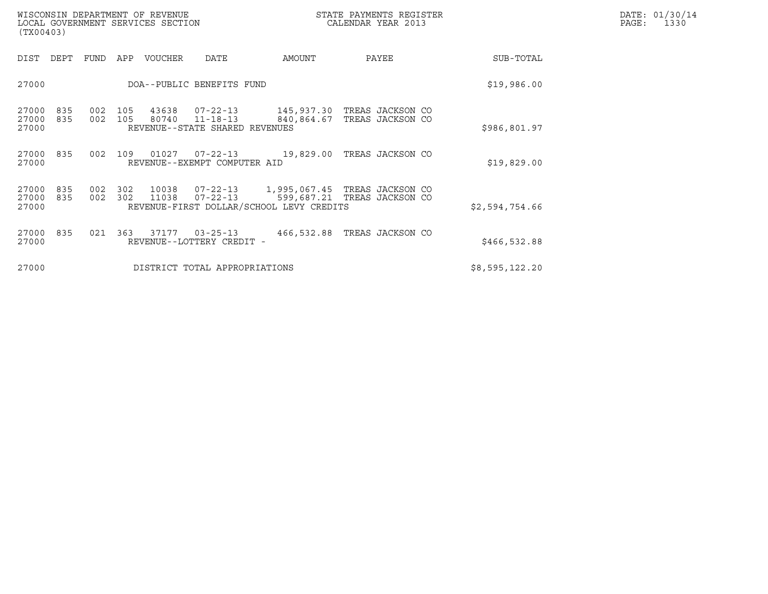| WISCONSIN DEPARTMENT OF REVENUE<br>LOCAL GOVERNMENT SERVICES SECTION<br>(TX00403) |         |       |                                |                                          | STATE PAYMENTS REGISTER<br>CALENDAR YEAR 2013                                                                            |                | DATE: 01/30/14<br>PAGE: 1330 |
|-----------------------------------------------------------------------------------|---------|-------|--------------------------------|------------------------------------------|--------------------------------------------------------------------------------------------------------------------------|----------------|------------------------------|
| DIST DEPT FUND APP VOUCHER                                                        |         |       | DATE                           | AMOUNT                                   | PAYEE                                                                                                                    | SUB-TOTAL      |                              |
| 27000                                                                             |         |       | DOA--PUBLIC BENEFITS FUND      |                                          |                                                                                                                          | \$19,986.00    |                              |
| 27000<br>835<br>27000                                                             |         |       | REVENUE--STATE SHARED REVENUES |                                          | 27000 835  002 105  43638  07-22-13    145,937.30 TREAS JACKSON CO<br>002 105 80740 11-18-13 840,864.67 TREAS JACKSON CO | \$986,801.97   |                              |
| 27000                                                                             |         |       | REVENUE--EXEMPT COMPUTER AID   |                                          | 27000 835 002 109 01027 07-22-13 19,829.00 TREAS JACKSON CO                                                              | \$19,829.00    |                              |
| 27000 835 002 302<br>27000<br>835<br>27000                                        | 002 302 | 11038 |                                | REVENUE-FIRST DOLLAR/SCHOOL LEVY CREDITS | 10038  07-22-13  1,995,067.45  TREAS JACKSON CO<br>07-22-13 599,687.21 TREAS JACKSON CO                                  | \$2,594,754.66 |                              |
| 27000 835<br>27000                                                                |         |       | REVENUE--LOTTERY CREDIT -      |                                          | 021  363  37177  03-25-13  466,532.88  TREAS JACKSON CO                                                                  | \$466,532.88   |                              |
| 27000                                                                             |         |       | DISTRICT TOTAL APPROPRIATIONS  |                                          |                                                                                                                          | \$8,595,122.20 |                              |
|                                                                                   |         |       |                                |                                          |                                                                                                                          |                |                              |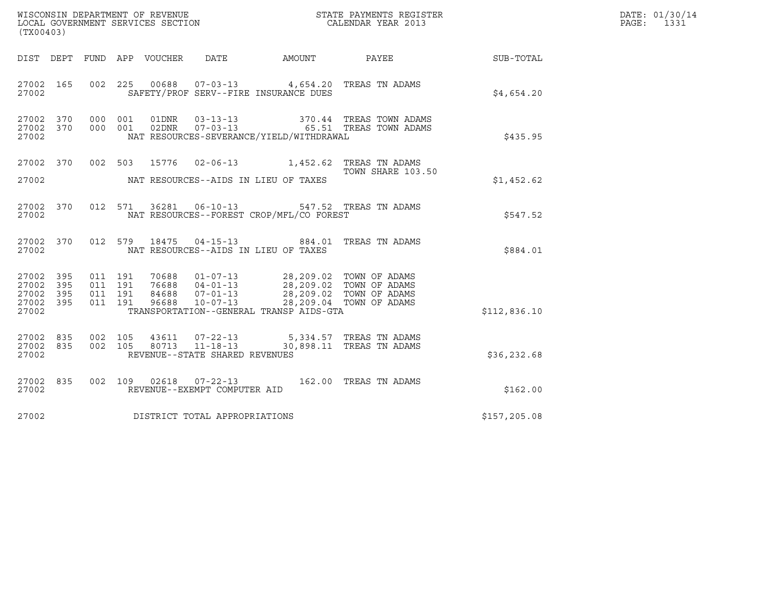| (TX00403)                                         |            |                                          |                                 |                                                                    |                                                                                          | ${\tt WISCOONSIM\ DEPARTMENT\ OF\ REVENUE}\ {\tt LOCALENDAR\ VERA}$ LOCAL GOVERNMENT SERVICES SECTION ${\tt LOCALENDAR\ VERAR\ 2013}$ |               | DATE: 01/30/14<br>PAGE:<br>1331 |
|---------------------------------------------------|------------|------------------------------------------|---------------------------------|--------------------------------------------------------------------|------------------------------------------------------------------------------------------|---------------------------------------------------------------------------------------------------------------------------------------|---------------|---------------------------------|
|                                                   |            |                                          | DIST DEPT FUND APP VOUCHER DATE |                                                                    | AMOUNT                                                                                   | <b>PAYEE</b>                                                                                                                          | SUB-TOTAL     |                                 |
| 27002 165<br>27002                                |            | 002 225                                  |                                 |                                                                    | 00688  07-03-13  4,654.20 TREAS TN ADAMS<br>SAFETY/PROF SERV--FIRE INSURANCE DUES        |                                                                                                                                       | \$4.654.20    |                                 |
| 27002 370<br>27002 370<br>27002                   |            | 000 001<br>000 001                       | 01DNR<br>02DNR                  | $03 - 13 - 13$<br>$07 - 03 - 13$                                   | NAT RESOURCES-SEVERANCE/YIELD/WITHDRAWAL                                                 | 370.44 TREAS TOWN ADAMS<br>65.51 TREAS TOWN ADAMS                                                                                     | \$435.95      |                                 |
| 27002 370<br>27002                                |            |                                          |                                 |                                                                    | 002 503 15776 02-06-13 1,452.62 TREAS TN ADAMS<br>NAT RESOURCES--AIDS IN LIEU OF TAXES   | TOWN SHARE 103.50                                                                                                                     | \$1,452.62    |                                 |
| 27002 370<br>27002                                |            |                                          |                                 |                                                                    | 012 571 36281 06-10-13 547.52 TREAS TN ADAMS<br>NAT RESOURCES--FOREST CROP/MFL/CO FOREST |                                                                                                                                       | \$547.52      |                                 |
| 27002 370<br>27002                                |            | 012 579                                  | 18475                           |                                                                    | 04-15-13 884.01 TREAS TN ADAMS<br>NAT RESOURCES--AIDS IN LIEU OF TAXES                   |                                                                                                                                       | \$884.01      |                                 |
| 27002 395<br>27002<br>27002<br>27002 395<br>27002 | 395<br>395 | 011 191<br>011 191<br>011 191<br>011 191 |                                 |                                                                    | TRANSPORTATION--GENERAL TRANSP AIDS-GTA                                                  |                                                                                                                                       | \$112,836.10  |                                 |
| 27002 835<br>27002 835<br>27002                   |            | 002 105<br>002 105                       | 43611<br>80713                  | $07 - 22 - 13$<br>$11 - 18 - 13$<br>REVENUE--STATE SHARED REVENUES | 5,334.57 TREAS TN ADAMS                                                                  | 30,898.11 TREAS TN ADAMS                                                                                                              | \$36, 232.68  |                                 |
| 27002 835<br>27002                                |            |                                          |                                 | REVENUE--EXEMPT COMPUTER AID                                       | 002 109 02618 07-22-13 162.00 TREAS TN ADAMS                                             |                                                                                                                                       | \$162.00      |                                 |
| 27002                                             |            |                                          |                                 | DISTRICT TOTAL APPROPRIATIONS                                      |                                                                                          |                                                                                                                                       | \$157, 205.08 |                                 |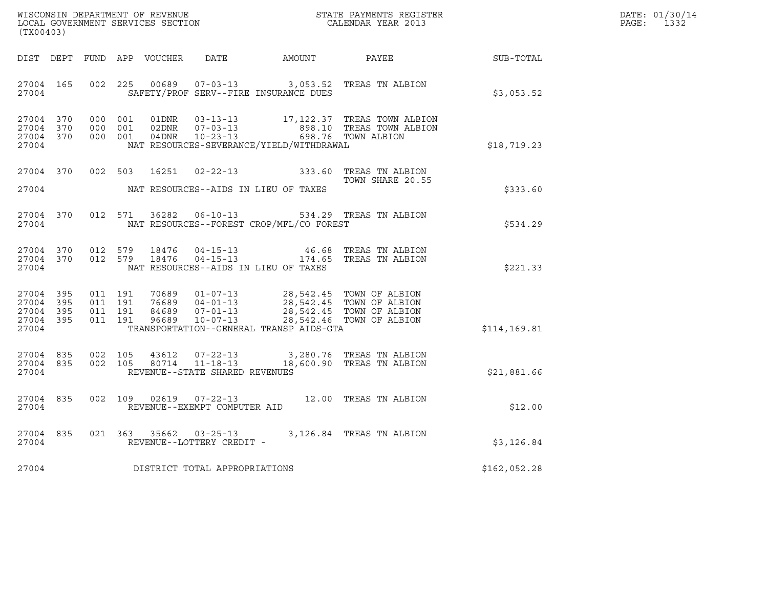| WISCONSIN DEPARTMENT OF REVENUE   | STATE PAYMENTS REGISTER | DATE: 01/30/14 |
|-----------------------------------|-------------------------|----------------|
| LOCAL GOVERNMENT SERVICES SECTION | CALENDAR YEAR 2013      | PAGE:          |

| (TX00403)                                    |  |  |                                     |                                             |                                                                                                                                                                                                                                                                                                                     | R                                                                                                                                                                                              | DATE: 01/30/14<br>PAGE:<br>1332 |
|----------------------------------------------|--|--|-------------------------------------|---------------------------------------------|---------------------------------------------------------------------------------------------------------------------------------------------------------------------------------------------------------------------------------------------------------------------------------------------------------------------|------------------------------------------------------------------------------------------------------------------------------------------------------------------------------------------------|---------------------------------|
|                                              |  |  |                                     |                                             |                                                                                                                                                                                                                                                                                                                     | DIST DEPT FUND APP VOUCHER DATE AMOUNT PAYEE SUB-TOTAL                                                                                                                                         |                                 |
|                                              |  |  |                                     | 27004 SAFETY/PROF SERV--FIRE INSURANCE DUES | 27004 165 002 225 00689 07-03-13 3,053.52 TREAS TN ALBION                                                                                                                                                                                                                                                           | \$3,053.52                                                                                                                                                                                     |                                 |
| 27004 370<br>27004 370<br>27004 370<br>27004 |  |  |                                     |                                             |                                                                                                                                                                                                                                                                                                                     | 000 001 01DNR 03-13-13 17,122.37 TREAS TOWN ALBION<br>000 001 02DNR 07-03-13 898.10 TREAS TOWN ALBION<br>000 001 04DNR 10-23-13 698.76 TOWN ALBION<br>NAT RESOURCES-SEVERANCE/YIELD/WITHDRAWAL |                                 |
|                                              |  |  |                                     | 27004 NAT RESOURCES--AIDS IN LIEU OF TAXES  | 27004 370 002 503 16251 02-22-13 333.60 TREAS TN ALBION<br>TOWN SHARE 20.55<br>TOWN SHARE 20.55                                                                                                                                                                                                                     | \$333.60                                                                                                                                                                                       |                                 |
|                                              |  |  |                                     |                                             |                                                                                                                                                                                                                                                                                                                     | 534.29 TREAS TN ALBION 370 012 571 36282 06-10-13<br>\$534.29 Specification - President CO FOREST                                                                                              |                                 |
| 27004                                        |  |  |                                     | NAT RESOURCES--AIDS IN LIEU OF TAXES        | $\begin{array}{cccccccc} 27004 & 370 & 012 & 579 & 18476 & 04-15-13 & & 46.68 & \text{TREAS TN ALBION} \\ 27004 & 370 & 012 & 579 & 18476 & 04-15-13 & & 174.65 & \text{TREAS TN ALBION} \end{array}$                                                                                                               | \$221.33                                                                                                                                                                                       |                                 |
| 27004                                        |  |  |                                     | TRANSPORTATION--GENERAL TRANSP AIDS-GTA     | $\begin{array}{cccccccc} 27004 & 395 & 011 & 191 & 70689 & 01-07-13 & 28,542.45 & \text{TOWN OF ALBION} \\ 27004 & 395 & 011 & 191 & 76689 & 04-01-13 & 28,542.45 & \text{TOWN OF ALBION} \\ 27004 & 395 & 011 & 191 & 84689 & 07-01-13 & 28,542.45 & \text{TOWN OF ALBION} \\ 27004 & 395 & 011 & 191 & 96689 & 1$ | \$114, 169.81                                                                                                                                                                                  |                                 |
| 27004                                        |  |  | REVENUE--STATE SHARED REVENUES      |                                             | $\begin{array}{cccccc} 27004 & 835 & 002 & 105 & 43612 & 07-22-13 & & 3,280.76 & \text{TREAS TN ALBION} \\ 27004 & 835 & 002 & 105 & 80714 & 11-18-13 & & 18,600.90 & \text{TREAS TN ALBION} \end{array}$                                                                                                           | \$21,881.66                                                                                                                                                                                    |                                 |
|                                              |  |  | 27004 REVENUE--EXEMPT COMPUTER AID  |                                             | 27004 835 002 109 02619 07-22-13 12.00 TREAS TN ALBION                                                                                                                                                                                                                                                              | \$12.00                                                                                                                                                                                        |                                 |
|                                              |  |  | 27004 REVENUE--LOTTERY CREDIT -     |                                             | 27004 835 021 363 35662 03-25-13 3,126.84 TREAS TN ALBION                                                                                                                                                                                                                                                           | \$3,126.84                                                                                                                                                                                     |                                 |
|                                              |  |  | 27004 DISTRICT TOTAL APPROPRIATIONS |                                             |                                                                                                                                                                                                                                                                                                                     | \$162,052.28                                                                                                                                                                                   |                                 |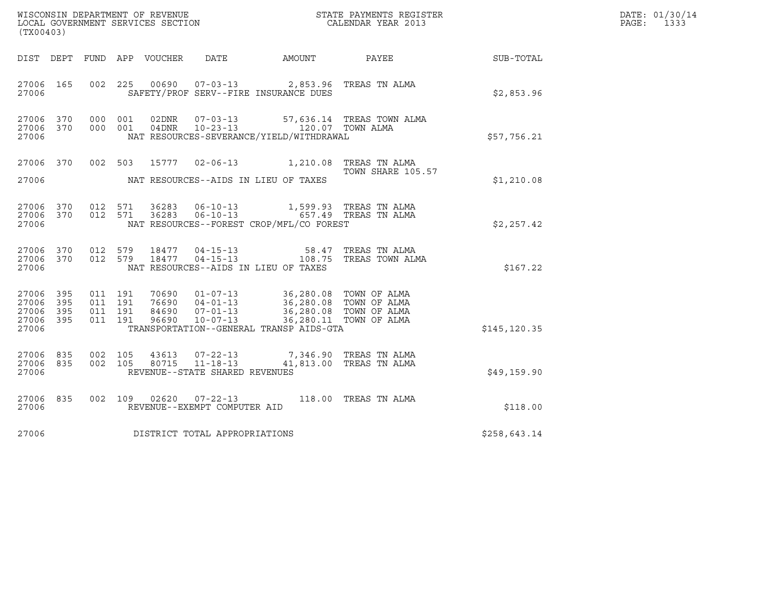| (TX00403)                                             |     |                                          |       |                                                                    |                                                                                        | $\tt WISCONSIM DEPARTMENT OF REVENUE$ $\tt WISCONSIMENTS REGISTER$<br>LOCAL GOVERNMENT SERVICES SECTION $\tt CALENDAR YEAR$ 2013 |               | DATE: 01/30/14<br>$\mathtt{PAGE:}$<br>1333 |
|-------------------------------------------------------|-----|------------------------------------------|-------|--------------------------------------------------------------------|----------------------------------------------------------------------------------------|----------------------------------------------------------------------------------------------------------------------------------|---------------|--------------------------------------------|
|                                                       |     |                                          |       |                                                                    |                                                                                        | DIST DEPT FUND APP VOUCHER DATE AMOUNT PAYEE SUB-TOTAL                                                                           |               |                                            |
| 27006 165<br>27006                                    |     |                                          |       |                                                                    | 002 225 00690 07-03-13 2,853.96 TREAS TN ALMA<br>SAFETY/PROF SERV--FIRE INSURANCE DUES |                                                                                                                                  | \$2,853.96    |                                            |
| 27006 370<br>27006 370<br>27006                       |     | 000 001<br>000 001                       | 02DNR | $07 - 03 - 13$                                                     | NAT RESOURCES-SEVERANCE/YIELD/WITHDRAWAL                                               | 57,636.14 TREAS TOWN ALMA                                                                                                        | \$57,756.21   |                                            |
| 27006                                                 |     | 27006 370 002 503                        |       |                                                                    | 15777  02-06-13   1,210.08   TREAS TN ALMA<br>NAT RESOURCES--AIDS IN LIEU OF TAXES     | TOWN SHARE 105.57                                                                                                                | \$1,210.08    |                                            |
| 27006 370<br>27006                                    |     | 27006 370 012 571<br>012 571             | 36283 | 36283 06-10-13                                                     | 06-10-13 657.49 TREAS TN ALMA<br>NAT RESOURCES--FOREST CROP/MFL/CO FOREST              | 1,599.93 TREAS TN ALMA                                                                                                           | \$2,257.42    |                                            |
| 27006 370<br>27006 370<br>27006                       |     | 012 579<br>012 579                       |       |                                                                    | NAT RESOURCES--AIDS IN LIEU OF TAXES                                                   | 18477  04-15-13  58.47  TREAS TN ALMA<br>18477  04-15-13   108.75  TREAS TOWN ALMA                                               | \$167.22      |                                            |
| 27006 395<br>27006 395<br>27006<br>27006 395<br>27006 | 395 | 011 191<br>011 191<br>011 191<br>011 191 |       |                                                                    | TRANSPORTATION--GENERAL TRANSP AIDS-GTA                                                |                                                                                                                                  | \$145, 120.35 |                                            |
| 27006 835<br>27006 835<br>27006                       |     | 002 105<br>002 105                       | 80715 | 43613 07-22-13<br>$11 - 18 - 13$<br>REVENUE--STATE SHARED REVENUES |                                                                                        | 7,346.90 TREAS TN ALMA<br>41,813.00 TREAS TN ALMA                                                                                | \$49,159.90   |                                            |
| 27006 835<br>27006                                    |     |                                          |       | 002 109 02620 07-22-13<br>REVENUE--EXEMPT COMPUTER AID             |                                                                                        | 118.00 TREAS TN ALMA                                                                                                             | \$118.00      |                                            |
| 27006                                                 |     |                                          |       | DISTRICT TOTAL APPROPRIATIONS                                      |                                                                                        |                                                                                                                                  | \$258,643.14  |                                            |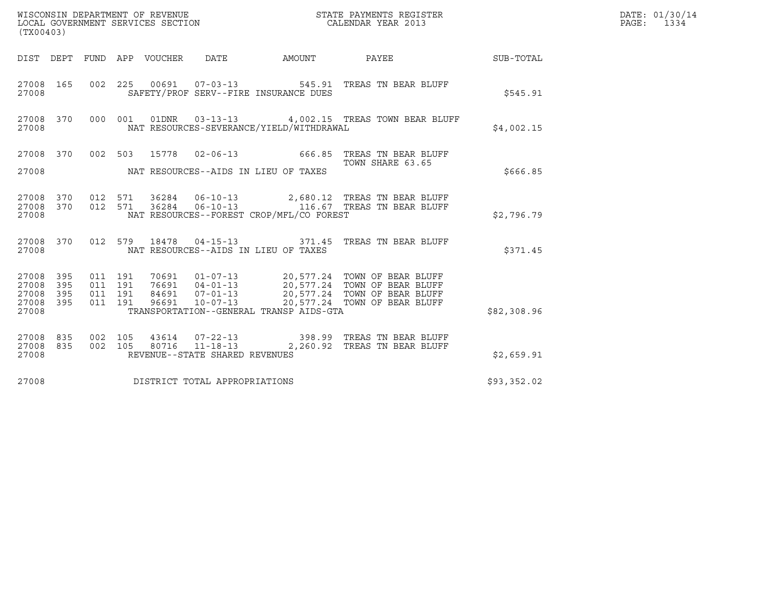| WISCONSIN DEPARTMENT OF REVENUE<br>LOCAL GOVERNMENT SERVICES SECTION | STATE PAYMENTS REGISTER<br>CALENDAR YEAR 2013 | DATE: 01/30/14<br>PAGE:<br>1334 |
|----------------------------------------------------------------------|-----------------------------------------------|---------------------------------|

| (TX00403)                                         |            |  |  |  |                                |                                          |                                                                                                                                                                                                                                                                                                                                |             | DATE: 01/30/14<br>PAGE: 1334 |
|---------------------------------------------------|------------|--|--|--|--------------------------------|------------------------------------------|--------------------------------------------------------------------------------------------------------------------------------------------------------------------------------------------------------------------------------------------------------------------------------------------------------------------------------|-------------|------------------------------|
|                                                   |            |  |  |  |                                |                                          | DIST DEPT FUND APP VOUCHER DATE AMOUNT PAYEE                                                                                                                                                                                                                                                                                   | SUB-TOTAL   |                              |
| 27008                                             |            |  |  |  |                                | SAFETY/PROF SERV--FIRE INSURANCE DUES    | 27008 165 002 225 00691 07-03-13 545.91 TREAS TN BEAR BLUFF                                                                                                                                                                                                                                                                    | \$545.91    |                              |
| 27008                                             |            |  |  |  |                                | NAT RESOURCES-SEVERANCE/YIELD/WITHDRAWAL | 27008 370 000 001 01DNR 03-13-13 4,002.15 TREAS TOWN BEAR BLUFF                                                                                                                                                                                                                                                                | \$4,002.15  |                              |
| 27008                                             |            |  |  |  |                                | NAT RESOURCES--AIDS IN LIEU OF TAXES     | 27008 370 002 503 15778 02-06-13 666.85 TREAS TN BEAR BLUFF<br>TOWN SHARE 63.65                                                                                                                                                                                                                                                | \$666.85    |                              |
| 27008                                             |            |  |  |  |                                | NAT RESOURCES--FOREST CROP/MFL/CO FOREST | $\begin{array}{cccccc} 27008 & 370 & 012 & 571 & 36284 & 06-10-13 & & 2,680.12 & \text{TREAS TN BEAR BLUFF} \\ 27008 & 370 & 012 & 571 & 36284 & 06-10-13 & & 116.67 & \text{TREAS TN BEAR BLUFF} \end{array}$                                                                                                                 | \$2,796.79  |                              |
| 27008                                             |            |  |  |  |                                | NAT RESOURCES--AIDS IN LIEU OF TAXES     | 27008 370 012 579 18478 04-15-13 371.45 TREAS TN BEAR BLUFF                                                                                                                                                                                                                                                                    | \$371.45    |                              |
| 27008 395<br>27008<br>27008<br>27008 395<br>27008 | 395<br>395 |  |  |  |                                | TRANSPORTATION--GENERAL TRANSP AIDS-GTA  | $\begin{array}{cccc} 011 & 191 & 70691 & 01-07-13 & 20,577.24 & \text{TOWN OF BERR BLUFF} \\ 011 & 191 & 76691 & 04-01-13 & 20,577.24 & \text{TOWN OF BERR BLUFF} \\ 011 & 191 & 84691 & 07-01-13 & 20,577.24 & \text{TOWN OF BERR BLUFF} \\ 011 & 191 & 96691 & 10-07-13 & 20,577.24 & \text{TOWN OF BERR BLUFF} \end{array}$ | \$82,308.96 |                              |
| 27008 835<br>27008 835<br>27008                   |            |  |  |  | REVENUE--STATE SHARED REVENUES |                                          | $\begin{array}{cccc} 002 & 105 & 43614 & 07-22-13 & 398.99 & \text{TREAS TN BEAR BLUFF} \\ 002 & 105 & 80716 & 11-18-13 & 2,260.92 & \text{TREAS TN BEAR BLUFF} \end{array}$                                                                                                                                                   | \$2,659.91  |                              |
| 27008                                             |            |  |  |  | DISTRICT TOTAL APPROPRIATIONS  |                                          |                                                                                                                                                                                                                                                                                                                                | \$93,352.02 |                              |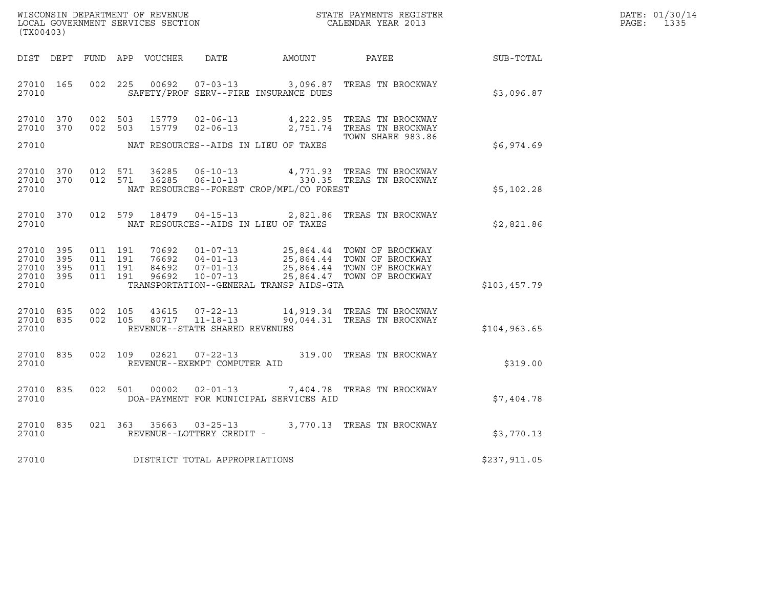| WISCONSIN DEPARTMENT OF REVENUE   | STATE PAYMENTS REGISTER | DATE: 01/30/14 |
|-----------------------------------|-------------------------|----------------|
| LOCAL GOVERNMENT SERVICES SECTION | CALENDAR YEAR 2013      | 1335<br>PAGE:  |

| (TX00403)                                    |                    |                              |                                          |                |                                     |                                          | %WISCONSIN DEPARTMENT OF REVENUE $$\tt STATE~PAYMENTS~REGISTER$ LOCAL GOVERNMENT SERVICES SECTION $$\tt CALENDAR~YEAR~2013$$                                                                 |              | DATE: 01/30/14<br>PAGE: 1335 |
|----------------------------------------------|--------------------|------------------------------|------------------------------------------|----------------|-------------------------------------|------------------------------------------|----------------------------------------------------------------------------------------------------------------------------------------------------------------------------------------------|--------------|------------------------------|
|                                              |                    |                              |                                          |                |                                     |                                          | DIST DEPT FUND APP VOUCHER DATE AMOUNT PAYEE                                                                                                                                                 | SUB-TOTAL    |                              |
|                                              | 27010 165<br>27010 |                              |                                          |                |                                     | SAFETY/PROF SERV--FIRE INSURANCE DUES    | 002  225  00692  07-03-13  3,096.87  TREAS TN BROCKWAY                                                                                                                                       | \$3,096.87   |                              |
| 27010                                        | 27010 370          | 27010 370 002 503<br>002 503 |                                          | 15779<br>15779 |                                     | NAT RESOURCES--AIDS IN LIEU OF TAXES     | 02-06-13 4,222.95 TREAS TN BROCKWAY<br>02-06-13 2,751.74 TREAS TN BROCKWAY<br>TOWN SHARE 983.86                                                                                              | \$6,974.69   |                              |
| 27010 370<br>27010                           |                    | 27010 370 012 571            | 012 571                                  |                |                                     | NAT RESOURCES--FOREST CROP/MFL/CO FOREST | 36285   06-10-13   4,771.93   TREAS TN BROCKWAY<br>36285   06-10-13   330.35   TREAS TN BROCKWAY                                                                                             | \$5,102.28   |                              |
|                                              | 27010 370<br>27010 |                              |                                          |                |                                     | NAT RESOURCES--AIDS IN LIEU OF TAXES     | 012 579 18479 04-15-13 2,821.86 TREAS TN BROCKWAY                                                                                                                                            | \$2,821.86   |                              |
| 27010 395<br>27010 395<br>27010 395<br>27010 | 27010 395          |                              | 011 191<br>011 191<br>011 191<br>011 191 |                |                                     | TRANSPORTATION--GENERAL TRANSP AIDS-GTA  | 70692  01-07-13  25,864.44  TOWN OF BROCKWAY<br>76692  04-01-13  25,864.44  TOWN OF BROCKWAY<br>84692  07-01-13  25,864.44  TOWN OF BROCKWAY<br>96692  10-07-13  25,864.47  TOWN OF BROCKWAY | \$103,457.79 |                              |
| 27010 835<br>27010 835<br>27010              |                    |                              | 002 105<br>002 105                       |                | REVENUE--STATE SHARED REVENUES      |                                          | 43615 07-22-13 14,919.34 TREAS TN BROCKWAY<br>80717  11-18-13  90,044.31  TREAS TN BROCKWAY                                                                                                  | \$104,963.65 |                              |
|                                              | 27010 835<br>27010 |                              |                                          |                | REVENUE--EXEMPT COMPUTER AID        |                                          | 002 109 02621 07-22-13 319.00 TREAS TN BROCKWAY                                                                                                                                              | \$319.00     |                              |
| 27010                                        | 27010 835          |                              |                                          |                |                                     | DOA-PAYMENT FOR MUNICIPAL SERVICES AID   | 002 501 00002 02-01-13 7,404.78 TREAS TN BROCKWAY                                                                                                                                            | \$7,404.78   |                              |
| 27010                                        | 27010 835          |                              |                                          |                | REVENUE--LOTTERY CREDIT -           |                                          | 021 $363$ $35663$ $03-25-13$ $3,770.13$ TREAS TN BROCKWAY                                                                                                                                    | \$3,770.13   |                              |
|                                              |                    |                              |                                          |                | 27010 DISTRICT TOTAL APPROPRIATIONS |                                          |                                                                                                                                                                                              | \$237,911.05 |                              |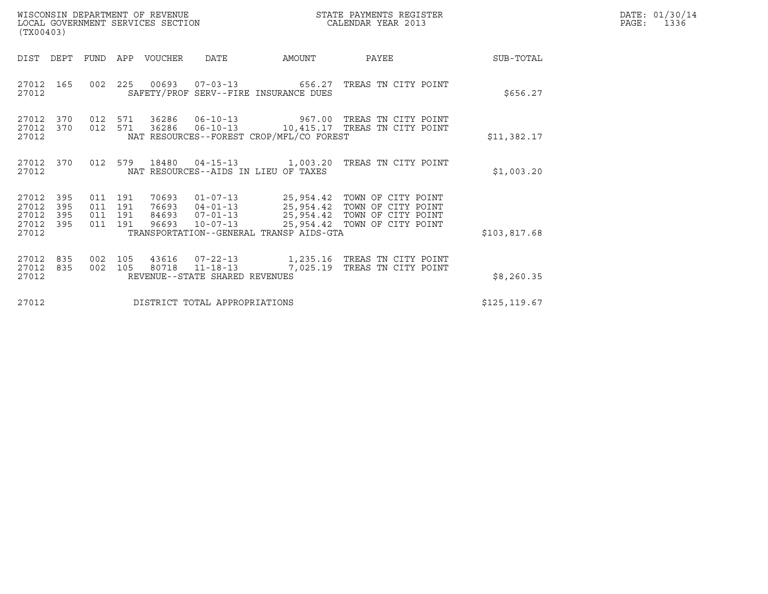| WISCONSIN DEPARTMENT OF REVENUE   | STATE PAYMENTS REGISTER | DATE: 01/30/14 |
|-----------------------------------|-------------------------|----------------|
| LOCAL GOVERNMENT SERVICES SECTION | CALENDAR YEAR 2013      | 1336<br>PAGE:  |

| (TX00403)                                     |                   |                    |                | WISCONSIN DEPARTMENT OF REVENUE<br>LOCAL GOVERNMENT SERVICES SECTION |                                | STATE PAYMENTS REGISTER<br>CALENDAR YEAR 2013                                                       |                                                                                                                                                        |               | DATE: 01/30/14<br>PAGE:<br>1336 |
|-----------------------------------------------|-------------------|--------------------|----------------|----------------------------------------------------------------------|--------------------------------|-----------------------------------------------------------------------------------------------------|--------------------------------------------------------------------------------------------------------------------------------------------------------|---------------|---------------------------------|
| DIST                                          | DEPT              |                    |                | FUND APP VOUCHER                                                     | DATE                           | <b>AMOUNT</b>                                                                                       | PAYEE                                                                                                                                                  | SUB-TOTAL     |                                 |
| 27012<br>27012                                | 165               | 002                |                |                                                                      |                                | 225 00693 07-03-13 656.27<br>SAFETY/PROF SERV--FIRE INSURANCE DUES                                  | TREAS TN CITY POINT                                                                                                                                    | \$656.27      |                                 |
| 27012<br>27012<br>27012                       | 370<br>370        |                    |                |                                                                      |                                | NAT RESOURCES--FOREST CROP/MFL/CO FOREST                                                            | 012 571 36286 06-10-13 967.00 TREAS TN CITY POINT<br>012 571 36286 06-10-13 10,415.17 TREAS TN CITY POINT                                              | \$11,382.17   |                                 |
| 27012<br>27012                                | 370               |                    |                |                                                                      |                                | NAT RESOURCES--AIDS IN LIEU OF TAXES                                                                | 012 579 18480 04-15-13 1,003.20 TREAS TN CITY POINT                                                                                                    | \$1,003.20    |                                 |
| 27012<br>27012<br>27012<br>27012 395<br>27012 | 395<br>395<br>395 | 011 191<br>011 191 |                | 70693                                                                |                                | $01 - 07 - 13$ 25,954.42<br>$76693$ $04-01-13$ 25,954.42<br>TRANSPORTATION--GENERAL TRANSP AIDS-GTA | TOWN OF CITY POINT<br>TOWN OF CITY POINT<br>011 191 84693 07-01-13 25,954.42 TOWN OF CITY POINT<br>011 191 96693 10-07-13 25,954.42 TOWN OF CITY POINT | \$103,817.68  |                                 |
| 27012<br>27012<br>27012                       | 835<br>835        | 002                | 105<br>002 105 | 43616                                                                | REVENUE--STATE SHARED REVENUES | 80718  11-18-13  7,025.19                                                                           | 07-22-13 1,235.16 TREAS TN CITY POINT<br>TREAS TN CITY POINT                                                                                           | \$8,260.35    |                                 |
| 27012                                         |                   |                    |                |                                                                      | DISTRICT TOTAL APPROPRIATIONS  |                                                                                                     |                                                                                                                                                        | \$125, 119.67 |                                 |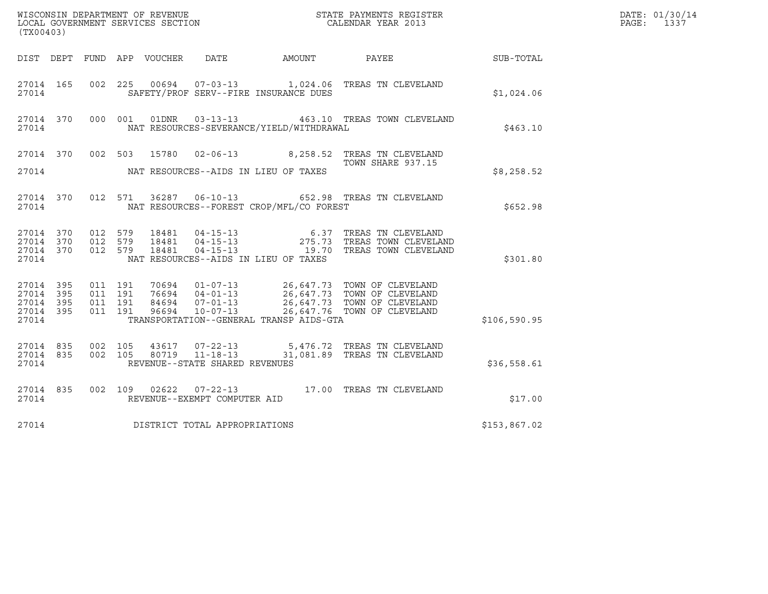| (TX00403)                                    |           |                               |         |                                                  |                                          |                                                                                                                                                                                                  |              | DATE: 01/30/14<br>$\mathtt{PAGE}$ :<br>1337 |
|----------------------------------------------|-----------|-------------------------------|---------|--------------------------------------------------|------------------------------------------|--------------------------------------------------------------------------------------------------------------------------------------------------------------------------------------------------|--------------|---------------------------------------------|
|                                              |           |                               |         |                                                  |                                          | DIST DEPT FUND APP VOUCHER DATE AMOUNT PAYEE                                                                                                                                                     | SUB-TOTAL    |                                             |
| 27014 165<br>27014                           |           |                               |         |                                                  | SAFETY/PROF SERV--FIRE INSURANCE DUES    | 002  225  00694  07-03-13  1,024.06  TREAS TN CLEVELAND                                                                                                                                          | \$1,024.06   |                                             |
| 27014                                        |           |                               |         |                                                  | NAT RESOURCES-SEVERANCE/YIELD/WITHDRAWAL | 27014 370 000 001 01DNR 03-13-13 463.10 TREAS TOWN CLEVELAND                                                                                                                                     | \$463.10     |                                             |
|                                              |           |                               |         |                                                  |                                          | 27014 370 002 503 15780 02-06-13 8,258.52 TREAS TN CLEVELAND<br>TOWN SHARE 937.15                                                                                                                |              |                                             |
| 27014                                        |           |                               |         |                                                  | NAT RESOURCES--AIDS IN LIEU OF TAXES     |                                                                                                                                                                                                  | \$8,258.52   |                                             |
| 27014                                        |           |                               |         |                                                  | NAT RESOURCES--FOREST CROP/MFL/CO FOREST | 27014 370 012 571 36287 06-10-13 652.98 TREAS TN CLEVELAND                                                                                                                                       | \$652.98     |                                             |
| 27014 370<br>27014 370<br>27014 370<br>27014 |           | 012 579<br>012 579<br>012 579 |         |                                                  | NAT RESOURCES--AIDS IN LIEU OF TAXES     | 18481  04-15-13   6.37   TREAS TN CLEVELAND<br>18481  04-15-13   275.73   TREAS TOWN CLEVELAND<br>18481  04-15-13   19.70   TREAS TOWN CLEVELAND                                                 | \$301.80     |                                             |
| 27014 395<br>27014 395<br>27014 395<br>27014 | 27014 395 | 011 191<br>011 191<br>011 191 | 011 191 |                                                  | TRANSPORTATION--GENERAL TRANSP AIDS-GTA  | 70694  01-07-13  26,647.73  TOWN OF CLEVELAND<br>76694  04-01-13  26,647.73  TOWN OF CLEVELAND<br>84694  07-01-13  26,647.73  TOWN OF CLEVELAND<br>96694  10-07-13  26,647.76  TOWN OF CLEVELAND | \$106,590.95 |                                             |
| 27014 835<br>27014                           | 27014 835 | 002 105<br>002 105            |         | 80719 11-18-13<br>REVENUE--STATE SHARED REVENUES |                                          | 43617 07-22-13 5,476.72 TREAS TN CLEVELAND<br>31,081.89 TREAS TN CLEVELAND                                                                                                                       | \$36,558.61  |                                             |
| 27014                                        | 27014 835 |                               |         | REVENUE--EXEMPT COMPUTER AID                     |                                          | 002 109 02622 07-22-13 17.00 TREAS TN CLEVELAND                                                                                                                                                  | \$17.00      |                                             |
| 27014                                        |           |                               |         | DISTRICT TOTAL APPROPRIATIONS                    |                                          |                                                                                                                                                                                                  | \$153,867.02 |                                             |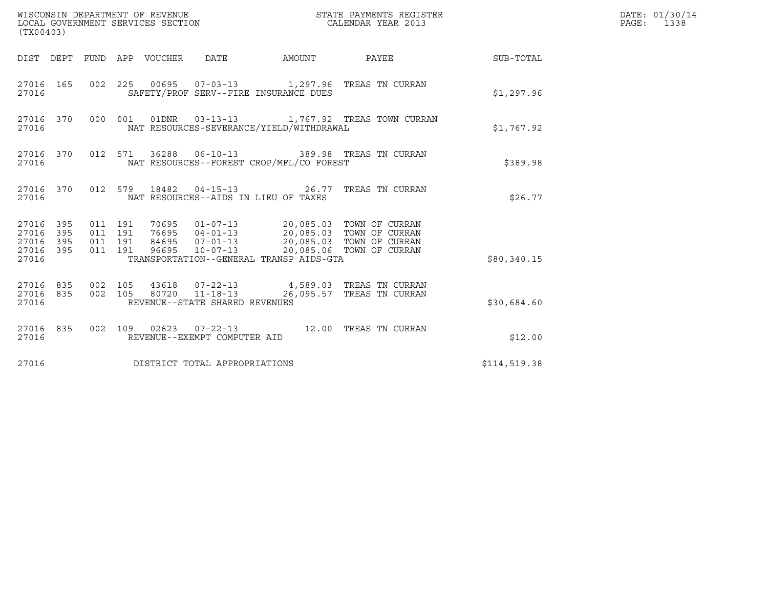| (TX00403)                                         |            |                                          |  |                                                   |                                                                         |              | DATE: 01/30/14<br>PAGE: 1338 |
|---------------------------------------------------|------------|------------------------------------------|--|---------------------------------------------------|-------------------------------------------------------------------------|--------------|------------------------------|
|                                                   |            |                                          |  | DIST DEPT FUND APP VOUCHER DATE AMOUNT            | PAYEE                                                                   | SUB-TOTAL    |                              |
| 27016 165<br>27016                                |            |                                          |  | SAFETY/PROF SERV--FIRE INSURANCE DUES             | 002 225 00695 07-03-13 1,297.96 TREAS TN CURRAN                         | \$1,297.96   |                              |
| 27016 370<br>27016                                |            |                                          |  | NAT RESOURCES-SEVERANCE/YIELD/WITHDRAWAL          | 000 001 01DNR 03-13-13 1,767.92 TREAS TOWN CURRAN                       | \$1,767.92   |                              |
| 27016 370<br>27016                                |            |                                          |  | NAT RESOURCES--FOREST CROP/MFL/CO FOREST          | 012 571 36288 06-10-13 389.98 TREAS TN CURRAN                           | \$389.98     |                              |
| 27016 370<br>27016                                |            |                                          |  | NAT RESOURCES--AIDS IN LIEU OF TAXES              | 012 579 18482 04-15-13 26.77 TREAS TN CURRAN                            | \$26.77      |                              |
| 27016 395<br>27016<br>27016<br>27016 395<br>27016 | 395<br>395 | 011 191<br>011 191<br>011 191<br>011 191 |  | TRANSPORTATION--GENERAL TRANSP AIDS-GTA           | 70695  01-07-13  20,085.03  TOWN OF CURRAN                              | \$80,340.15  |                              |
| 27016 835<br>27016 835<br>27016                   |            | 002 105<br>002 105                       |  | 80720  11-18-13<br>REVENUE--STATE SHARED REVENUES | 43618  07-22-13  4,589.03  TREAS TN CURRAN<br>26,095.57 TREAS TN CURRAN | \$30,684.60  |                              |
| 27016 835<br>27016                                |            |                                          |  | REVENUE--EXEMPT COMPUTER AID                      | 002 109 02623 07-22-13 12.00 TREAS TN CURRAN                            | \$12.00      |                              |
| 27016                                             |            |                                          |  | DISTRICT TOTAL APPROPRIATIONS                     |                                                                         | \$114,519.38 |                              |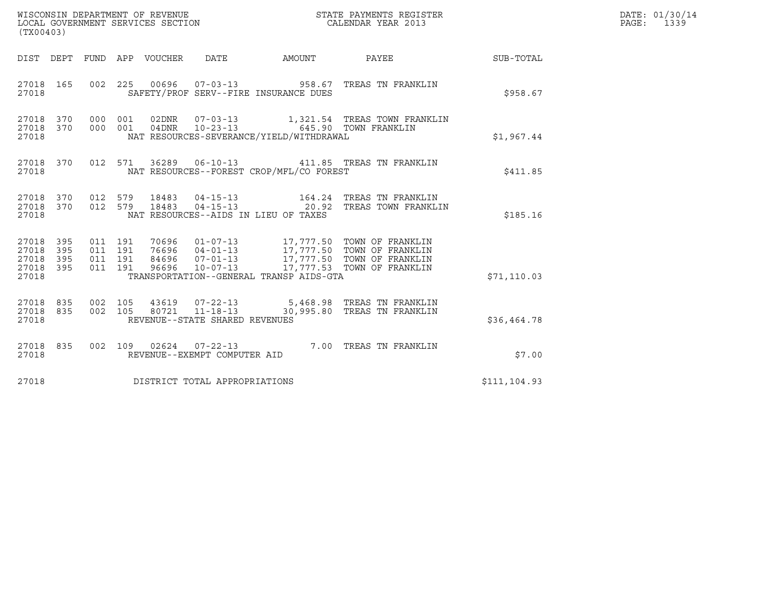| WISCONSIN DEPARTMENT OF REVENUE<br>LOCAL GOVERNMENT SERVICES SECTION | STATE PAYMENTS REGISTER<br>CALENDAR YEAR 2013 | DATE: 01/30/14<br>PAGE:<br>1339 |
|----------------------------------------------------------------------|-----------------------------------------------|---------------------------------|

| (TX00403)                            |                         |                    |  |  |                                |                                          |                                                                                                                                                                                                                                                                                                                                                  |               | DATE: 01/30/14<br>PAGE: 1339 |
|--------------------------------------|-------------------------|--------------------|--|--|--------------------------------|------------------------------------------|--------------------------------------------------------------------------------------------------------------------------------------------------------------------------------------------------------------------------------------------------------------------------------------------------------------------------------------------------|---------------|------------------------------|
|                                      |                         |                    |  |  |                                |                                          | DIST DEPT FUND APP VOUCHER DATE AMOUNT PAYEE                                                                                                                                                                                                                                                                                                     | SUB-TOTAL     |                              |
| 27018                                |                         |                    |  |  |                                | SAFETY/PROF SERV--FIRE INSURANCE DUES    | 27018 165 002 225 00696 07-03-13 958.67 TREAS TN FRANKLIN                                                                                                                                                                                                                                                                                        | \$958.67      |                              |
| 27018                                |                         |                    |  |  |                                | NAT RESOURCES-SEVERANCE/YIELD/WITHDRAWAL | $\begin{tabular}{lcccc} 27018 & 370 & 000 & 001 & 02DNR & 07-03-13 & & 1,321.54 & TREAS TOWN FRANKLIN \\ 27018 & 370 & 000 & 001 & 04DNR & 10-23-13 & & & 645.90 TOWN FRANKLIN \end{tabular}$                                                                                                                                                    | \$1,967.44    |                              |
| 27018                                |                         |                    |  |  |                                | NAT RESOURCES--FOREST CROP/MFL/CO FOREST | 27018 370 012 571 36289 06-10-13 411.85 TREAS TN FRANKLIN                                                                                                                                                                                                                                                                                        | \$411.85      |                              |
| 27018                                |                         |                    |  |  |                                | NAT RESOURCES--AIDS IN LIEU OF TAXES     | $\begin{array}{cccccc} 27018 & 370 & 012 & 579 & 18483 & 04-15-13 & & 164.24 & \text{TREAS TN FRANKLIN} \\ 27018 & 370 & 012 & 579 & 18483 & 04-15-13 & & 20.92 & \text{TREAS TOWN FRANKLIN} \end{array}$                                                                                                                                        | \$185.16      |                              |
| 27018<br>27018<br>27018 395<br>27018 | 27018 395<br>395<br>395 | 011 191<br>011 191 |  |  |                                | TRANSPORTATION--GENERAL TRANSP AIDS-GTA  | $\begin{array}{cccccc} 011 & 191 & 70696 & 01\text{--}07\text{--}13 & 17,777.50 & \text{TOWN OF FRANKLIN} \\ 011 & 191 & 76696 & 04\text{--}01\text{--}13 & 17,777.50 & \text{TOWN OF FRANKLIN} \\ 011 & 191 & 84696 & 07\text{--}01\text{--}13 & 17,777.50 & \text{TOWN OF FRANKLIN} \\ 011 & 191 & 96696 & 10\text{--}07\text{--}13 & 17,777.$ | \$71, 110.03  |                              |
| 27018                                |                         |                    |  |  | REVENUE--STATE SHARED REVENUES |                                          | $\begin{array}{cccccccc} 27018 & 835 & 002 & 105 & 43619 & 07-22-13 & & & 5,468.98 & \text{TREAS TN FRANKLIN} \\ 27018 & 835 & 002 & 105 & 80721 & 11-18-13 & & & 30,995.80 & \text{TREAS TN FRANKLIN} \end{array}$                                                                                                                              | \$36,464.78   |                              |
| 27018                                |                         |                    |  |  | REVENUE--EXEMPT COMPUTER AID   |                                          | 27018 835 002 109 02624 07-22-13 7.00 TREAS TN FRANKLIN                                                                                                                                                                                                                                                                                          | \$7.00        |                              |
| 27018                                |                         |                    |  |  | DISTRICT TOTAL APPROPRIATIONS  |                                          |                                                                                                                                                                                                                                                                                                                                                  | \$111, 104.93 |                              |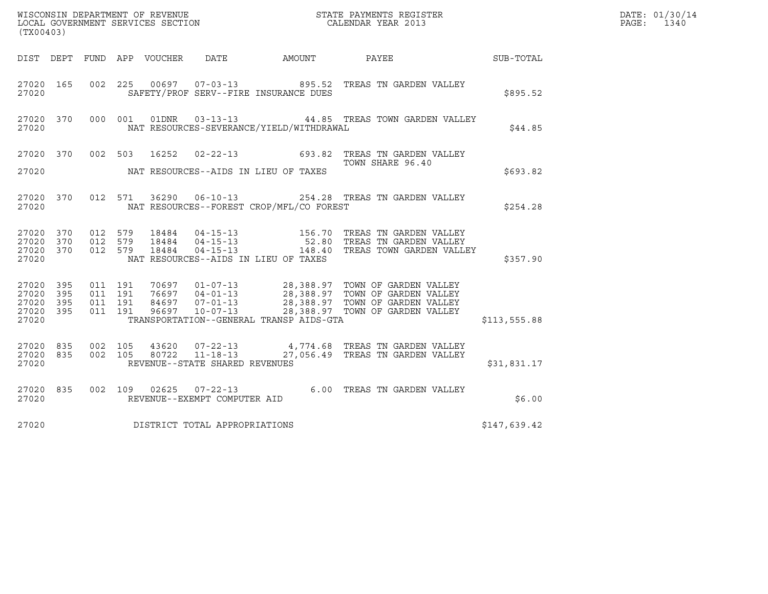|                        |           |                    |         |       |                                |                                          |                                                                                                                                                                                                                                                                                  | DATE: 01/30/14 |            |
|------------------------|-----------|--------------------|---------|-------|--------------------------------|------------------------------------------|----------------------------------------------------------------------------------------------------------------------------------------------------------------------------------------------------------------------------------------------------------------------------------|----------------|------------|
| (TX00403)              |           |                    |         |       |                                |                                          |                                                                                                                                                                                                                                                                                  |                | PAGE: 1340 |
|                        |           |                    |         |       |                                |                                          | DIST DEPT FUND APP VOUCHER DATE AMOUNT PAYEE PAYER SUB-TOTAL                                                                                                                                                                                                                     |                |            |
| 27020                  | 27020 165 |                    |         |       |                                | SAFETY/PROF SERV--FIRE INSURANCE DUES    | 002 225 00697 07-03-13 895.52 TREAS TN GARDEN VALLEY                                                                                                                                                                                                                             | \$895.52       |            |
| 27020                  |           |                    |         |       |                                | NAT RESOURCES-SEVERANCE/YIELD/WITHDRAWAL | 27020 370 000 001 01DNR 03-13-13 44.85 TREAS TOWN GARDEN VALLEY                                                                                                                                                                                                                  | \$44.85        |            |
|                        |           |                    |         |       |                                |                                          | 27020 370 002 503 16252 02-22-13 693.82 TREAS TN GARDEN VALLEY<br>TOWN SHARE 96.40                                                                                                                                                                                               |                |            |
|                        |           |                    |         |       |                                |                                          |                                                                                                                                                                                                                                                                                  | \$693.82       |            |
| 27020                  | 27020 370 |                    |         |       |                                | NAT RESOURCES--FOREST CROP/MFL/CO FOREST | 012 571 36290 06-10-13 254.28 TREAS TN GARDEN VALLEY                                                                                                                                                                                                                             | \$254.28       |            |
|                        |           |                    |         |       |                                |                                          | $\begin{array}{cccc} 27020& 370& 012& 579& 18484& 04-15-13& 156.70 & \text{TREAS TN GARDEN VALLEY}\\ 27020& 370& 012& 579& 18484& 04-15-13& 52.80 & \text{TREAS TN GARDEN VALLEY}\\ 27020& 370& 012& 579& 18484& 04-15-13& 148.40 & \text{TREAS TOWN GARDEN VALLEY} \end{array}$ |                |            |
| 27020                  |           |                    |         |       |                                | NAT RESOURCES--AIDS IN LIEU OF TAXES     |                                                                                                                                                                                                                                                                                  | \$357.90       |            |
| 27020 395<br>27020 395 |           | 011 191            | 011 191 |       |                                |                                          | 70697  01-07-13  28,388.97  TOWN OF GARDEN VALLEY<br>76697  04-01-13  28,388.97  TOWN OF GARDEN VALLEY<br>84697  07-01-13  28,388.97  TOWN OF GARDEN VALLEY<br>96697  10-07-13  28,388.97  TOWN OF GARDEN VALLEY                                                                 |                |            |
| 27020 395<br>27020     | 27020 395 | 011 191<br>011 191 |         |       |                                | TRANSPORTATION--GENERAL TRANSP AIDS-GTA  |                                                                                                                                                                                                                                                                                  | \$113,555.88   |            |
|                        |           | 27020 835 002 105  |         |       |                                |                                          | 43620  07-22-13  4,774.68  TREAS TN GARDEN VALLEY                                                                                                                                                                                                                                |                |            |
| 27020                  | 27020 835 |                    | 002 105 | 80722 | REVENUE--STATE SHARED REVENUES |                                          | 11-18-13 27,056.49 TREAS TN GARDEN VALLEY                                                                                                                                                                                                                                        | \$31,831.17    |            |
| 27020                  |           |                    |         |       | REVENUE--EXEMPT COMPUTER AID   |                                          | 27020 835 002 109 02625 07-22-13 6.00 TREAS TN GARDEN VALLEY                                                                                                                                                                                                                     | \$6.00         |            |
| 27020                  |           |                    |         |       | DISTRICT TOTAL APPROPRIATIONS  |                                          |                                                                                                                                                                                                                                                                                  | \$147,639.42   |            |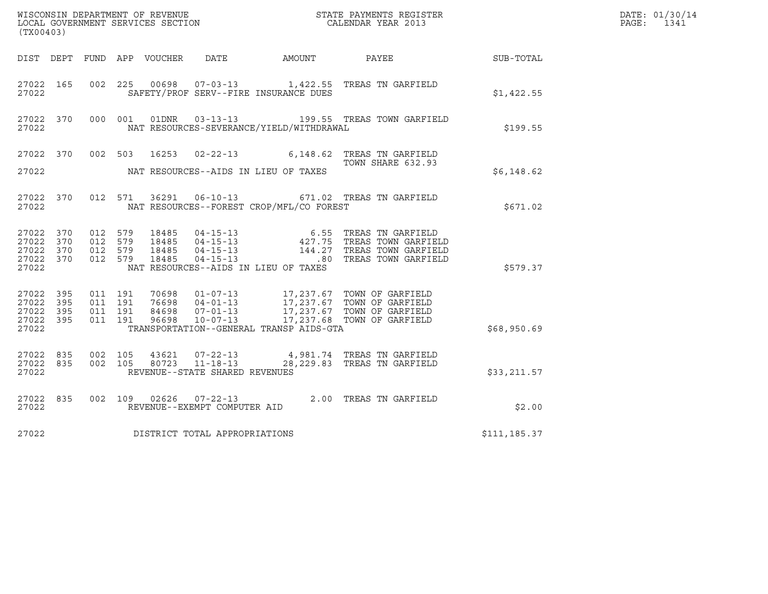| (TX00403)          |                              |  |                                |                                                |                                                                                                                                                                                                                                                                                                                              |              | DATE: 01/30/14<br>PAGE: 1341 |
|--------------------|------------------------------|--|--------------------------------|------------------------------------------------|------------------------------------------------------------------------------------------------------------------------------------------------------------------------------------------------------------------------------------------------------------------------------------------------------------------------------|--------------|------------------------------|
|                    |                              |  |                                |                                                | DIST DEPT FUND APP VOUCHER DATE AMOUNT PAYEE PATE SUB-TOTAL                                                                                                                                                                                                                                                                  |              |                              |
| 27022              |                              |  |                                | SAFETY/PROF SERV--FIRE INSURANCE DUES          | 27022 165 002 225 00698 07-03-13 1,422.55 TREAS TN GARFIELD                                                                                                                                                                                                                                                                  | \$1,422.55   |                              |
|                    |                              |  |                                | 27022 NAT RESOURCES-SEVERANCE/YIELD/WITHDRAWAL | 27022 370 000 001 01DNR 03-13-13 199.55 TREAS TOWN GARFIELD                                                                                                                                                                                                                                                                  | \$199.55     |                              |
|                    |                              |  |                                |                                                | 27022 370 002 503 16253 02-22-13 6,148.62 TREAS TN GARFIELD<br>TOWN SHARE 632.93                                                                                                                                                                                                                                             |              |                              |
|                    |                              |  |                                | 27022 NAT RESOURCES--AIDS IN LIEU OF TAXES     |                                                                                                                                                                                                                                                                                                                              | \$6.148.62   |                              |
|                    |                              |  |                                | 27022 NAT RESOURCES--FOREST CROP/MFL/CO FOREST | 27022 370 012 571 36291 06-10-13 671.02 TREAS TN GARFIELD                                                                                                                                                                                                                                                                    | \$671.02     |                              |
|                    |                              |  |                                | 27022 NAT RESOURCES--AIDS IN LIEU OF TAXES     | $\begin{array}{cccccccc} 27022 & 370 & 012 & 579 & 18485 & 04-15-13 & & & & & 6.55 & \text{TREAS TN GARFIELD} \\ 27022 & 370 & 012 & 579 & 18485 & 04-15-13 & & & 427.75 & \text{TREAS TOWN GARFIELD} \\ 27022 & 370 & 012 & 579 & 18485 & 04-15-13 & & & 144.27 & \text{TREAS TOWN GARFIELD} \\ 27022 & 370 & 012 & 579 & $ | \$579.37     |                              |
| 27022              |                              |  |                                | TRANSPORTATION--GENERAL TRANSP AIDS-GTA        | $\begin{array}{cccccccc} 27022 & 395 & 011 & 191 & 70698 & 01-07-13 & 17,237.67 & \text{TOWN OF GARFIELD} \\ 27022 & 395 & 011 & 191 & 76698 & 04-01-13 & 17,237.67 & \text{TOWN OF GARFIELD} \\ 27022 & 395 & 011 & 191 & 84698 & 07-01-13 & 17,237.67 & \text{TOWN OF GARFIELD} \\ 27022 & 395 & 011 & 191 & 96$           | \$68,950.69  |                              |
| 27022 835<br>27022 | 27022 835 002 105<br>002 105 |  | REVENUE--STATE SHARED REVENUES |                                                | 43621   07-22-13   4,981.74 TREAS TN GARFIELD<br>80723   11-18-13   28,229.83 TREAS TN GARFIELD                                                                                                                                                                                                                              | \$33,211.57  |                              |
|                    |                              |  |                                |                                                | $\begin{array}{cccc} 27022 & 835 & 002 & 109 & 02626 & 07-22-13 & 2.00 & \text{TREAS TN GARFIELD} \\ 27022 & \text{REVENUE--EXEMPT COMPUTER AID & \end{array}$                                                                                                                                                               | \$2.00       |                              |
| 27022              |                              |  | DISTRICT TOTAL APPROPRIATIONS  |                                                |                                                                                                                                                                                                                                                                                                                              | \$111,185.37 |                              |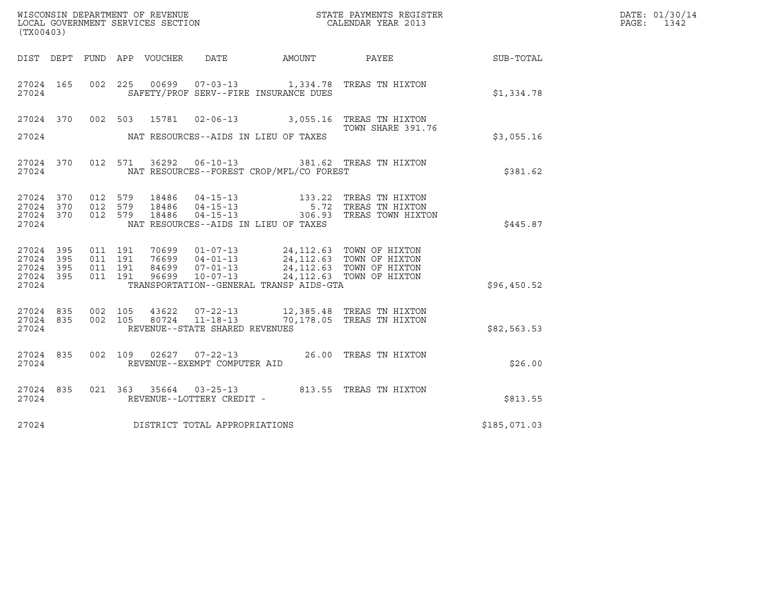| (TX00403)                                     |                   |                                          |         |                            |                                                     |                                          | $\tt WISCONSIM DEPARTMENT OF REVENUE$ $\tt WISCONMIN SERS REGISTER$ $\tt LOCAL BODAR YEAR$ $2013$                                                                                                    |              | DATE: 01/30/14<br>PAGE:<br>1342 |
|-----------------------------------------------|-------------------|------------------------------------------|---------|----------------------------|-----------------------------------------------------|------------------------------------------|------------------------------------------------------------------------------------------------------------------------------------------------------------------------------------------------------|--------------|---------------------------------|
|                                               |                   |                                          |         | DIST DEPT FUND APP VOUCHER | DATE                                                | AMOUNT PAYEE                             |                                                                                                                                                                                                      | SUB-TOTAL    |                                 |
| 27024 165<br>27024                            |                   |                                          |         |                            |                                                     | SAFETY/PROF SERV--FIRE INSURANCE DUES    | 002 225 00699 07-03-13 1,334.78 TREAS TN HIXTON                                                                                                                                                      | \$1,334.78   |                                 |
| 27024 370<br>27024                            |                   |                                          |         |                            |                                                     | NAT RESOURCES--AIDS IN LIEU OF TAXES     | 002 503 15781 02-06-13 3,055.16 TREAS TN HIXTON<br>TOWN SHARE 391.76                                                                                                                                 | \$3,055.16   |                                 |
|                                               |                   |                                          |         |                            |                                                     |                                          |                                                                                                                                                                                                      |              |                                 |
| 27024 370<br>27024                            |                   |                                          | 012 571 |                            |                                                     | NAT RESOURCES--FOREST CROP/MFL/CO FOREST | 36292  06-10-13  381.62  TREAS TN HIXTON                                                                                                                                                             | \$381.62     |                                 |
| 27024 370<br>27024<br>27024<br>27024          | 370<br>370        | 012 579<br>012 579                       | 012 579 | 18486<br>18486<br>18486    | $04 - 15 - 13$<br>04 - 15 - 13<br>04 - 15 - 13      | NAT RESOURCES--AIDS IN LIEU OF TAXES     | 133.22 TREAS TN HIXTON<br>5.72 TREAS TN HIXTON<br>306.93 TREAS TOWN HIXTON                                                                                                                           | \$445.87     |                                 |
| 27024 395<br>27024<br>27024<br>27024<br>27024 | 395<br>395<br>395 | 011 191<br>011 191<br>011 191<br>011 191 |         |                            |                                                     | TRANSPORTATION--GENERAL TRANSP AIDS-GTA  | 70699  01-07-13  24, 112.63  TOWN OF HIXTON<br>76699 04-01-13<br>84699 07-01-13 24,112.63 TOWN OF HIXTON<br>84699  07-01-13  24,112.63  TOWN OF HIXTON<br>96699  10-07-13  24,112.63  TOWN OF HIXTON | \$96,450.52  |                                 |
| 27024 835<br>27024 835<br>27024               |                   | 002 105<br>002 105                       |         | 80724                      | $11 - 18 - 13$<br>REVENUE--STATE SHARED REVENUES    |                                          | 43622  07-22-13  12,385.48  TREAS TN HIXTON<br>70,178.05 TREAS TN HIXTON                                                                                                                             | \$82,563.53  |                                 |
| 27024 835<br>27024                            |                   |                                          |         |                            | REVENUE--EXEMPT COMPUTER AID                        |                                          | 002 109 02627 07-22-13 26.00 TREAS TN HIXTON                                                                                                                                                         | \$26.00      |                                 |
| 27024 835<br>27024                            |                   |                                          |         |                            | 021 363 35664 03-25-13<br>REVENUE--LOTTERY CREDIT - |                                          | 813.55 TREAS TN HIXTON                                                                                                                                                                               | \$813.55     |                                 |
| 27024                                         |                   |                                          |         |                            | DISTRICT TOTAL APPROPRIATIONS                       |                                          |                                                                                                                                                                                                      | \$185,071.03 |                                 |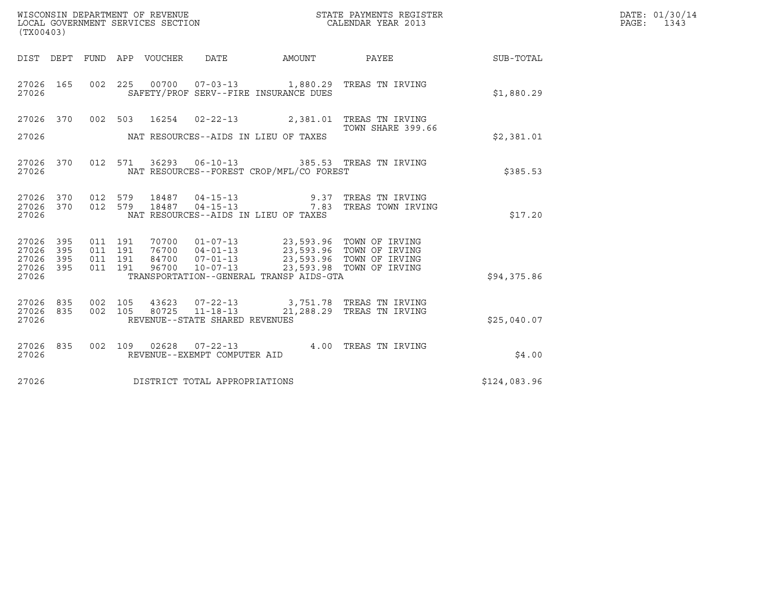| (TX00403)                                 |                          |         |                                 | WISCONSIN DEPARTMENT OF REVENUE<br>LOCAL GOVERNMENT SERVICES SECTION |                                          | STATE PAYMENTS REGISTER<br>CALENDAR YEAR 2013                                                                                                                                                                                                                                                                                                      |                  | DATE: 01/30/14<br>PAGE: 1343 |
|-------------------------------------------|--------------------------|---------|---------------------------------|----------------------------------------------------------------------|------------------------------------------|----------------------------------------------------------------------------------------------------------------------------------------------------------------------------------------------------------------------------------------------------------------------------------------------------------------------------------------------------|------------------|------------------------------|
|                                           |                          |         | DIST DEPT FUND APP VOUCHER DATE |                                                                      | AMOUNT                                   | PAYEE                                                                                                                                                                                                                                                                                                                                              | <b>SUB-TOTAL</b> |                              |
| 27026 165<br>27026                        |                          |         |                                 |                                                                      | SAFETY/PROF SERV--FIRE INSURANCE DUES    | 002  225  00700  07-03-13  1,880.29  TREAS TN IRVING                                                                                                                                                                                                                                                                                               | \$1,880.29       |                              |
|                                           |                          |         |                                 |                                                                      |                                          | 27026 370 002 503 16254 02-22-13 2,381.01 TREAS TN IRVING                                                                                                                                                                                                                                                                                          |                  |                              |
| 27026                                     |                          |         |                                 |                                                                      | NAT RESOURCES--AIDS IN LIEU OF TAXES     | TOWN SHARE 399.66                                                                                                                                                                                                                                                                                                                                  | \$2,381.01       |                              |
| 27026                                     |                          |         |                                 |                                                                      | NAT RESOURCES--FOREST CROP/MFL/CO FOREST | 27026 370 012 571 36293 06-10-13 385.53 TREAS TN IRVING                                                                                                                                                                                                                                                                                            | \$385.53         |                              |
| 27026                                     |                          |         |                                 |                                                                      | NAT RESOURCES--AIDS IN LIEU OF TAXES     | 27026 370 012 579 18487 04-15-13  9.37 TREAS TN IRVING<br>27026 370 012 579 18487 04-15-13  7.83 TREAS TOWN IRVING                                                                                                                                                                                                                                 | \$17.20          |                              |
| 27026<br>27026<br>27026<br>27026<br>27026 | 395<br>395<br>395<br>395 |         |                                 |                                                                      | TRANSPORTATION--GENERAL TRANSP AIDS-GTA  | $\begin{array}{cccccc} 011 & 191 & 70700 & 01\texttt{-}07\texttt{-}13 & 23,593.96 & \texttt{TOWN OF IRVING} \\ 011 & 191 & 76700 & 04\texttt{-}01\texttt{-}13 & 23,593.96 & \texttt{TOWN OF IRVING} \\ 011 & 191 & 84700 & 07\texttt{-}01\texttt{-}13 & 23,593.96 & \texttt{TOWN OF IRVING} \\ 011 & 191 & 96700 & 10\texttt{-}07\texttt{-}13 & 2$ | \$94,375.86      |                              |
| 27026 835<br>27026 835<br>27026           |                          | 002 105 |                                 | REVENUE--STATE SHARED REVENUES                                       |                                          | 43623  07-22-13  3,751.78  TREAS TN IRVING<br>002 105 80725 11-18-13 21,288.29 TREAS TN IRVING                                                                                                                                                                                                                                                     | \$25,040.07      |                              |
| 27026 835<br>27026                        |                          |         |                                 | REVENUE--EXEMPT COMPUTER AID                                         |                                          | 002 109 02628 07-22-13 4.00 TREAS TN IRVING                                                                                                                                                                                                                                                                                                        | \$4.00           |                              |
| 27026                                     |                          |         |                                 | DISTRICT TOTAL APPROPRIATIONS                                        |                                          |                                                                                                                                                                                                                                                                                                                                                    | \$124,083.96     |                              |
|                                           |                          |         |                                 |                                                                      |                                          |                                                                                                                                                                                                                                                                                                                                                    |                  |                              |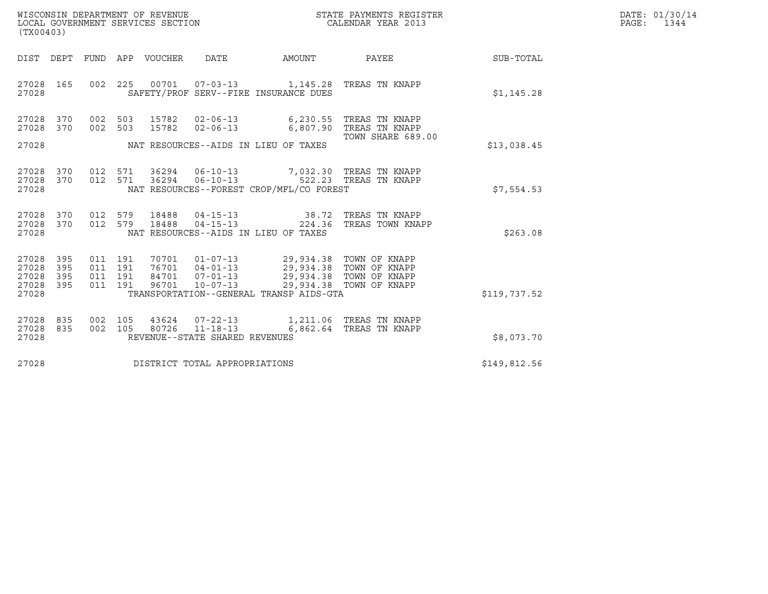| WISCONSIN DEPARTMENT OF REVENUE   | STATE PAYMENTS REGISTER | DATE: 01/30/14 |
|-----------------------------------|-------------------------|----------------|
| LOCAL GOVERNMENT SERVICES SECTION | CALENDAR YEAR 2013      | PAGE:<br>1344  |

| (TX00403)                                         |            |         |                                |                                |                                                                                                                                                                                                                                                                                                                                                                                                      |                                    |              | DATE: 01/30/14<br>PAGE: 1344 |
|---------------------------------------------------|------------|---------|--------------------------------|--------------------------------|------------------------------------------------------------------------------------------------------------------------------------------------------------------------------------------------------------------------------------------------------------------------------------------------------------------------------------------------------------------------------------------------------|------------------------------------|--------------|------------------------------|
| DIST DEPT                                         |            |         | FUND APP VOUCHER               | DATE                           | AMOUNT                                                                                                                                                                                                                                                                                                                                                                                               | <b>PAYEE</b> PAYEE                 | SUB-TOTAL    |                              |
| 27028 165<br>27028                                |            |         |                                |                                | 002 225 00701 07-03-13 1,145.28 TREAS TN KNAPP<br>SAFETY/PROF SERV--FIRE INSURANCE DUES                                                                                                                                                                                                                                                                                                              |                                    | \$1,145.28   |                              |
| 27028 370<br>27028 370                            |            | 002 503 | 15782                          | $02 - 06 - 13$                 | 002 503 15782 02-06-13 6,230.55 TREAS TN KNAPP<br>6,807.90 TREAS TN KNAPP                                                                                                                                                                                                                                                                                                                            |                                    |              |                              |
| 27028                                             |            |         |                                |                                | NAT RESOURCES--AIDS IN LIEU OF TAXES                                                                                                                                                                                                                                                                                                                                                                 | TOWN SHARE 689.00                  | \$13,038.45  |                              |
| 27028 370<br>27028 370<br>27028                   |            |         |                                |                                | 012 571 36294 06-10-13 7,032.30 TREAS TN KNAPP 012 571 36294 06-10-13 522.23 TREAS TN KNAPP<br>NAT RESOURCES--FOREST CROP/MFL/CO FOREST                                                                                                                                                                                                                                                              |                                    | \$7,554.53   |                              |
| 27028 370<br>27028 370<br>27028                   |            |         | 012 579 18488<br>012 579 18488 |                                | $04 - 15 - 13$ $38.72$<br>$04 - 15 - 13$ $224.36$<br>NAT RESOURCES--AIDS IN LIEU OF TAXES                                                                                                                                                                                                                                                                                                            | TREAS TN KNAPP<br>TREAS TOWN KNAPP | \$263.08     |                              |
| 27028 395<br>27028<br>27028<br>27028 395<br>27028 | 395<br>395 |         |                                |                                | $\begin{array}{cccccc} 011 & 191 & 70701 & 01\texttt{-}07\texttt{-}13 & & 29,934.38 & \texttt{TOWN OF KNAPP} \\ 011 & 191 & 76701 & 04\texttt{-}01\texttt{-}13 & & 29,934.38 & \texttt{TOWN OF KNAPP} \\ 011 & 191 & 84701 & 07\texttt{-}01\texttt{-}13 & & 29,934.38 & \texttt{TOWN OF KNAPP} \\ 011 & 191 & 96701 & 10\texttt{-}07\texttt{-}13 & & 29,$<br>TRANSPORTATION--GENERAL TRANSP AIDS-GTA |                                    | \$119,737.52 |                              |
| 27028 835<br>27028 835<br>27028                   |            |         |                                | REVENUE--STATE SHARED REVENUES | 002 105 43624 07-22-13 1,211.06 TREAS TN KNAPP<br>002 105 80726 11-18-13 6,862.64 TREAS TN KNAPP                                                                                                                                                                                                                                                                                                     |                                    | \$8,073.70   |                              |
| 27028                                             |            |         |                                | DISTRICT TOTAL APPROPRIATIONS  |                                                                                                                                                                                                                                                                                                                                                                                                      |                                    | \$149,812.56 |                              |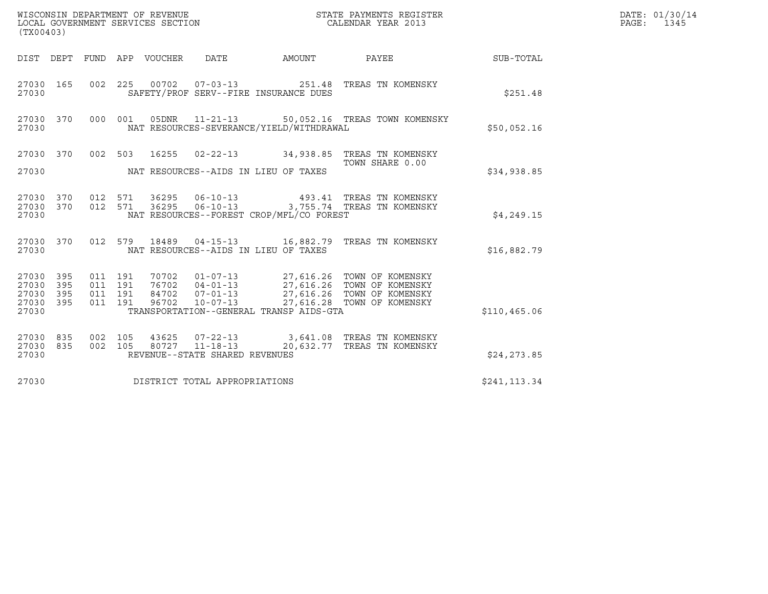| (TX00403)                                 |                          |                                          | WISCONSIN DEPARTMENT OF REVENUE<br>LOCAL GOVERNMENT SERVICES SECTION |                                |                                          | STATE PAYMENTS REGISTER<br>CALENDAR YEAR 2013                                                                                                                                                |                  | DATE: 01/30/14<br>PAGE: 1345 |
|-------------------------------------------|--------------------------|------------------------------------------|----------------------------------------------------------------------|--------------------------------|------------------------------------------|----------------------------------------------------------------------------------------------------------------------------------------------------------------------------------------------|------------------|------------------------------|
|                                           |                          |                                          | DIST DEPT FUND APP VOUCHER DATE                                      |                                | AMOUNT PAYEE                             |                                                                                                                                                                                              | <b>SUB-TOTAL</b> |                              |
| 27030 165<br>27030                        |                          |                                          |                                                                      |                                | SAFETY/PROF SERV--FIRE INSURANCE DUES    | 002 225 00702 07-03-13 251.48 TREAS TN KOMENSKY                                                                                                                                              | \$251.48         |                              |
| 27030 370<br>27030                        |                          | 000 001                                  |                                                                      |                                | NAT RESOURCES-SEVERANCE/YIELD/WITHDRAWAL | 05DNR  11-21-13  50,052.16 TREAS TOWN KOMENSKY                                                                                                                                               | \$50,052.16      |                              |
| 27030                                     |                          |                                          |                                                                      |                                | NAT RESOURCES--AIDS IN LIEU OF TAXES     | 27030 370 002 503 16255 02-22-13 34,938.85 TREAS TN KOMENSKY<br>TOWN SHARE 0.00                                                                                                              | \$34,938.85      |                              |
| 27030 370<br>27030 370<br>27030           |                          | 012 571<br>012 571                       | 36295                                                                | 36295 06-10-13                 | NAT RESOURCES--FOREST CROP/MFL/CO FOREST | 493.41 TREAS TN KOMENSKY<br>06-10-13 3,755.74 TREAS TN KOMENSKY                                                                                                                              | \$4,249.15       |                              |
| 27030 370<br>27030                        |                          |                                          |                                                                      |                                | NAT RESOURCES--AIDS IN LIEU OF TAXES     | 012 579 18489 04-15-13 16,882.79 TREAS TN KOMENSKY                                                                                                                                           | \$16,882.79      |                              |
| 27030<br>27030<br>27030<br>27030<br>27030 | 395<br>395<br>395<br>395 | 011 191<br>011 191<br>011 191<br>011 191 |                                                                      |                                | TRANSPORTATION--GENERAL TRANSP AIDS-GTA  | 70702  01-07-13  27,616.26  TOWN OF KOMENSKY<br>76702  04-01-13  27,616.26  TOWN OF KOMENSKY<br>84702  07-01-13  27,616.26  TOWN OF KOMENSKY<br>96702  10-07-13  27,616.28  TOWN OF KOMENSKY | \$110, 465.06    |                              |
| 27030 835<br>27030<br>27030               | 835                      | 002 105<br>002 105                       | 43625                                                                | REVENUE--STATE SHARED REVENUES |                                          | 07-22-13 3,641.08 TREAS TN KOMENSKY<br>80727 11-18-13 20,632.77 TREAS TN KOMENSKY                                                                                                            | \$24, 273.85     |                              |
| 27030                                     |                          |                                          |                                                                      | DISTRICT TOTAL APPROPRIATIONS  |                                          |                                                                                                                                                                                              | \$241,113.34     |                              |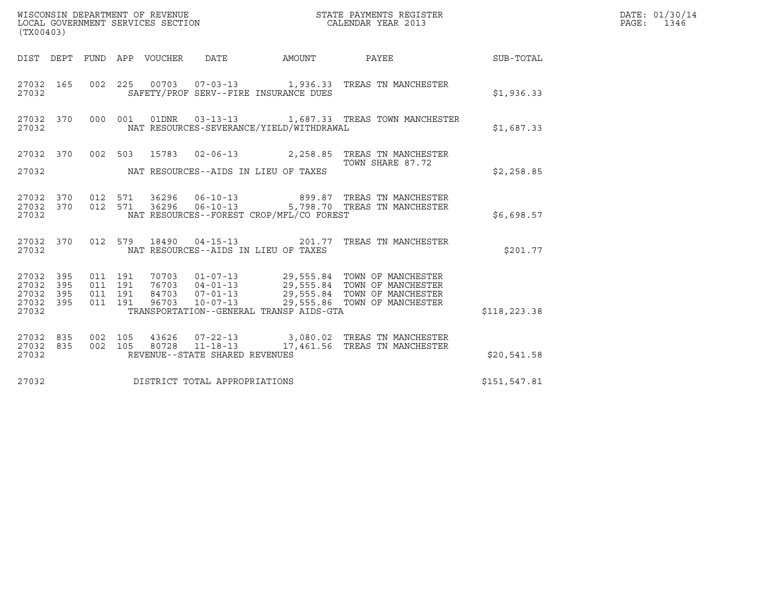| WISCONSIN DEPARTMENT OF REVENUE<br>LOCAL GOVERNMENT SERVICES SECTION<br>STATE PAYMENTS REGISTER<br>CALENDAR YEAR 2013<br>(TX00403) |           |                                          |  |  |                                |                                          |                                                                                                                                                                                                      |               | DATE: 01/30/14<br>PAGE: 1346 |
|------------------------------------------------------------------------------------------------------------------------------------|-----------|------------------------------------------|--|--|--------------------------------|------------------------------------------|------------------------------------------------------------------------------------------------------------------------------------------------------------------------------------------------------|---------------|------------------------------|
|                                                                                                                                    |           |                                          |  |  |                                |                                          | DIST DEPT FUND APP VOUCHER DATE AMOUNT PAYEE SUB-TOTAL                                                                                                                                               |               |                              |
| 27032 165<br>27032                                                                                                                 |           |                                          |  |  |                                | SAFETY/PROF SERV--FIRE INSURANCE DUES    | 002 225 00703 07-03-13 1,936.33 TREAS TN MANCHESTER                                                                                                                                                  | \$1,936.33    |                              |
| 27032                                                                                                                              | 27032 370 |                                          |  |  |                                | NAT RESOURCES-SEVERANCE/YIELD/WITHDRAWAL | 000 001 01DNR 03-13-13 1,687.33 TREAS TOWN MANCHESTER                                                                                                                                                | \$1,687.33    |                              |
| 27032                                                                                                                              |           |                                          |  |  |                                | NAT RESOURCES--AIDS IN LIEU OF TAXES     | 27032 370 002 503 15783 02-06-13 2,258.85 TREAS TN MANCHESTER<br>TOWN SHARE 87.72                                                                                                                    | \$2,258.85    |                              |
| 27032                                                                                                                              |           |                                          |  |  |                                | NAT RESOURCES--FOREST CROP/MFL/CO FOREST | $27032$ 370 012 571 36296 06-10-13 899.87 TREAS TN MANCHESTER<br>27032 370 012 571 36296 06-10-13 5,798.70 TREAS TN MANCHESTER                                                                       | \$6.698.57    |                              |
| 27032                                                                                                                              |           |                                          |  |  |                                | NAT RESOURCES--AIDS IN LIEU OF TAXES     | 27032 370 012 579 18490 04-15-13 201.77 TREAS TN MANCHESTER                                                                                                                                          | \$201.77      |                              |
| 27032 395<br>27032<br>27032 395<br>27032 395<br>27032                                                                              | 395       | 011 191<br>011 191<br>011 191<br>011 191 |  |  |                                | TRANSPORTATION--GENERAL TRANSP AIDS-GTA  | 70703  01-07-13  29,555.84  TOWN OF MANCHESTER<br>76703  04-01-13  29,555.84  TOWN OF MANCHESTER<br>84703  07-01-13  29,555.84  TOWN OF MANCHESTER<br>96703  10-07-13  29,555.86  TOWN OF MANCHESTER | \$118, 223.38 |                              |
| 27032 835<br>27032                                                                                                                 | 27032 835 | 002 105<br>002 105                       |  |  | REVENUE--STATE SHARED REVENUES |                                          | 43626  07-22-13  3,080.02  TREAS TN MANCHESTER<br>80728  11-18-13   17,461.56  TREAS TN MANCHESTER                                                                                                   | \$20,541.58   |                              |
| 27032                                                                                                                              |           |                                          |  |  | DISTRICT TOTAL APPROPRIATIONS  |                                          |                                                                                                                                                                                                      | \$151,547.81  |                              |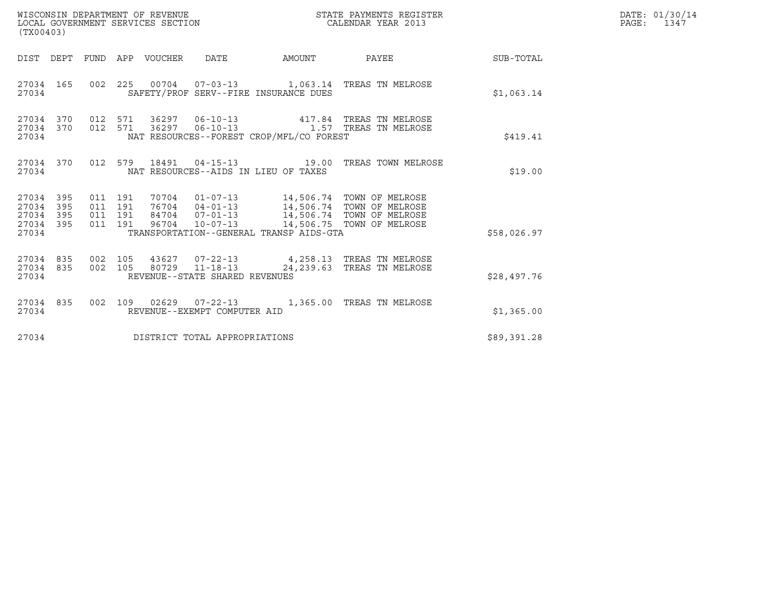| (TX00403)                                                       |                    |                    |                                |                                          | STATE PAYMENTS REGISTER                                                                                                                                                                  |                 | DATE: 01/30/14<br>PAGE: 1347 |
|-----------------------------------------------------------------|--------------------|--------------------|--------------------------------|------------------------------------------|------------------------------------------------------------------------------------------------------------------------------------------------------------------------------------------|-----------------|------------------------------|
| DIST DEPT FUND APP VOUCHER DATE                                 |                    |                    |                                | AMOUNT                                   |                                                                                                                                                                                          | PAYEE SUB-TOTAL |                              |
| 27034 165<br>27034                                              |                    |                    |                                | SAFETY/PROF SERV--FIRE INSURANCE DUES    | 002  225  00704  07-03-13  1,063.14  TREAS TN MELROSE                                                                                                                                    | \$1,063.14      |                              |
| 27034 370<br>27034 370<br>27034                                 | 012 571            | 012 571            |                                | NAT RESOURCES--FOREST CROP/MFL/CO FOREST | 36297   06-10-13   417.84   TREAS TN MELROSE<br>36297  06-10-13    1.57    TREAS TN MELROSE                                                                                              | \$419.41        |                              |
| 27034 370<br>27034                                              |                    |                    |                                | NAT RESOURCES--AIDS IN LIEU OF TAXES     | 012 579 18491 04-15-13 19.00 TREAS TOWN MELROSE                                                                                                                                          | \$19.00         |                              |
| 27034 395<br>27034<br>395<br>27034<br>395<br>27034 395<br>27034 | 011 191<br>011 191 | 011 191<br>011 191 |                                | TRANSPORTATION--GENERAL TRANSP AIDS-GTA  | 70704  01-07-13  14,506.74  TOWN OF MELROSE<br>76704  04-01-13  14,506.74  TOWN OF MELROSE<br>84704  07-01-13  14,506.74  TOWN OF MELROSE<br>96704  10-07-13  14,506.75  TOWN OF MELROSE | \$58,026.97     |                              |
| 27034 835<br>27034 835<br>27034                                 | 002 105            | 002 105            | REVENUE--STATE SHARED REVENUES |                                          | 43627 07-22-13 4,258.13 TREAS TN MELROSE<br>80729  11-18-13  24,239.63  TREAS TN MELROSE                                                                                                 | \$28,497.76     |                              |
| 27034 835<br>27034                                              |                    |                    | REVENUE--EXEMPT COMPUTER AID   |                                          | 002 109 02629 07-22-13 1,365.00 TREAS TN MELROSE                                                                                                                                         | \$1,365.00      |                              |
| 27034                                                           |                    |                    | DISTRICT TOTAL APPROPRIATIONS  |                                          |                                                                                                                                                                                          | \$89,391.28     |                              |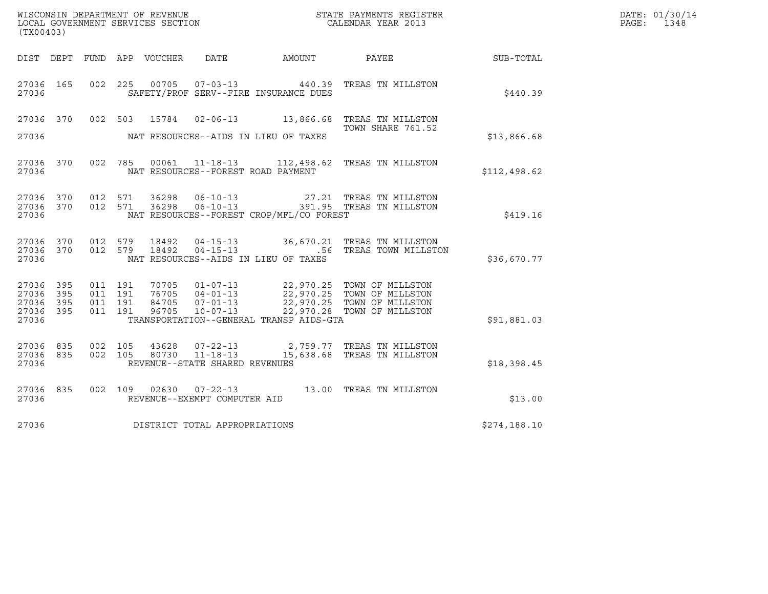| (TX00403)                                     |                   |                                          |         |                                  |                                                              | ${\tt WISCOONSIM\ DEPARTMENT\ OF\ REVENUE}\qquad \qquad {\tt STATE\ PAYMENTS\ REGISTER\ LOCAL\ GOVERNMENT\ SERVICES\ SECTION\qquad \qquad {\tt CALENDAR\ YEAR\ 2013}$ |                                                                                                                                                 |              | DATE: 01/30/14<br>$\mathtt{PAGE}$ :<br>1348 |
|-----------------------------------------------|-------------------|------------------------------------------|---------|----------------------------------|--------------------------------------------------------------|-----------------------------------------------------------------------------------------------------------------------------------------------------------------------|-------------------------------------------------------------------------------------------------------------------------------------------------|--------------|---------------------------------------------|
|                                               |                   |                                          |         |                                  |                                                              | DIST DEPT FUND APP VOUCHER DATE AMOUNT PAYEE                                                                                                                          |                                                                                                                                                 | SUB-TOTAL    |                                             |
| 27036 165<br>27036                            |                   | 002 225                                  |         |                                  |                                                              | 00705  07-03-13  440.39<br>SAFETY/PROF SERV--FIRE INSURANCE DUES                                                                                                      | TREAS TN MILLSTON                                                                                                                               | \$440.39     |                                             |
| 27036 370                                     |                   |                                          |         |                                  |                                                              |                                                                                                                                                                       | 002 503 15784 02-06-13 13,866.68 TREAS TN MILLSTON<br>TOWN SHARE 761.52                                                                         |              |                                             |
| 27036                                         |                   |                                          |         |                                  |                                                              | NAT RESOURCES--AIDS IN LIEU OF TAXES                                                                                                                                  |                                                                                                                                                 | \$13,866.68  |                                             |
| 27036                                         | 27036 370         |                                          | 002 785 |                                  | NAT RESOURCES--FOREST ROAD PAYMENT                           |                                                                                                                                                                       | 00061 11-18-13 112,498.62 TREAS TN MILLSTON                                                                                                     | \$112,498.62 |                                             |
| 27036 370<br>27036                            | 27036 370         | 012 571                                  | 012 571 |                                  |                                                              | NAT RESOURCES--FOREST CROP/MFL/CO FOREST                                                                                                                              | 36298   06-10-13   27.21   TREAS TN MILLSTON<br>36298   06-10-13   391.95   TREAS TN MILLSTON                                                   | \$419.16     |                                             |
| 27036 370<br>27036 370<br>27036               |                   | 012 579                                  | 012 579 | 18492<br>18492                   |                                                              | NAT RESOURCES--AIDS IN LIEU OF TAXES                                                                                                                                  | 04-15-13 36,670.21 TREAS TN MILLSTON<br>04-15-13 .56 TREAS TOWN MILLSTON                                                                        | \$36,670.77  |                                             |
| 27036 395<br>27036<br>27036<br>27036<br>27036 | 395<br>395<br>395 | 011 191<br>011 191<br>011 191<br>011 191 |         | 70705<br>76705<br>84705<br>96705 | $10 - 07 - 13$                                               | TRANSPORTATION--GENERAL TRANSP AIDS-GTA                                                                                                                               | 01-07-13 22,970.25 TOWN OF MILLSTON<br>04-01-13 22,970.25 TOWN OF MILLSTON<br>07-01-13 22,970.25 TOWN OF MILLSTON<br>22,970.28 TOWN OF MILLSTON | \$91,881.03  |                                             |
| 27036 835<br>27036<br>27036                   | 835               | 002 105<br>002 105                       |         | 43628<br>80730                   | $07 - 22 - 13$<br>11-18-13<br>REVENUE--STATE SHARED REVENUES |                                                                                                                                                                       | 2,759.77 TREAS TN MILLSTON<br>15,638.68 TREAS TN MILLSTON                                                                                       | \$18,398.45  |                                             |
| 27036 835<br>27036                            |                   |                                          |         |                                  | REVENUE--EXEMPT COMPUTER AID                                 |                                                                                                                                                                       | 002 109 02630 07-22-13 13.00 TREAS TN MILLSTON                                                                                                  | \$13.00      |                                             |
| 27036                                         |                   |                                          |         |                                  | DISTRICT TOTAL APPROPRIATIONS                                |                                                                                                                                                                       |                                                                                                                                                 | \$274,188.10 |                                             |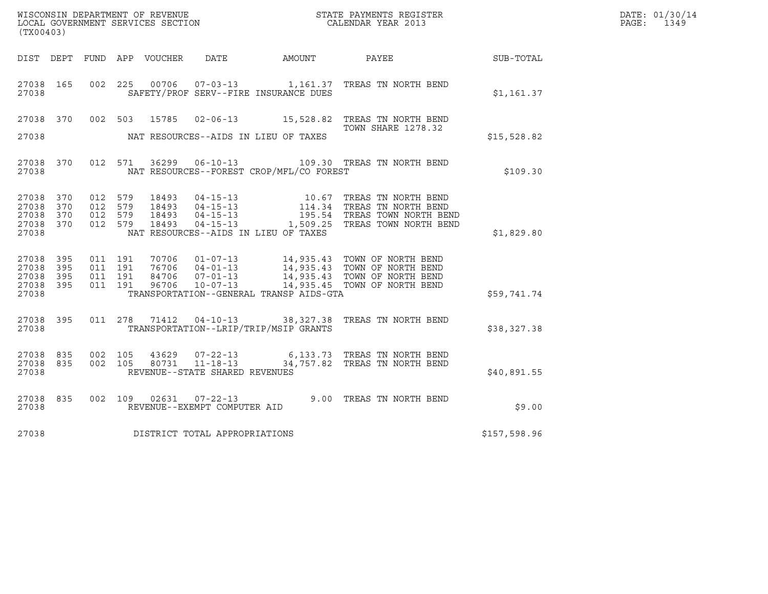| DATE: | 01/30/14 |
|-------|----------|
| PAGE: | 1349     |

| (TX00403)                           |           |                               |         |                |                                                                    |                                          |                                                                                                                                                                                                                                                                                                                                                            |              | DATE: 01/30/14<br>PAGE:<br>1349 |
|-------------------------------------|-----------|-------------------------------|---------|----------------|--------------------------------------------------------------------|------------------------------------------|------------------------------------------------------------------------------------------------------------------------------------------------------------------------------------------------------------------------------------------------------------------------------------------------------------------------------------------------------------|--------------|---------------------------------|
|                                     |           |                               |         |                |                                                                    | DIST DEPT FUND APP VOUCHER DATE AMOUNT   | PAYEE SUB-TOTAL                                                                                                                                                                                                                                                                                                                                            |              |                                 |
| 27038 165<br>27038                  |           |                               |         |                |                                                                    | SAFETY/PROF SERV--FIRE INSURANCE DUES    | 002 225 00706 07-03-13 1,161.37 TREAS TN NORTH BEND                                                                                                                                                                                                                                                                                                        | \$1,161.37   |                                 |
|                                     | 27038 370 |                               |         |                |                                                                    |                                          | 002 503 15785 02-06-13 15,528.82 TREAS TN NORTH BEND<br><b>TOWN SHARE 1278.32</b>                                                                                                                                                                                                                                                                          |              |                                 |
| 27038                               |           |                               |         |                |                                                                    | NAT RESOURCES--AIDS IN LIEU OF TAXES     |                                                                                                                                                                                                                                                                                                                                                            | \$15,528.82  |                                 |
| 27038                               | 27038 370 |                               | 012 571 |                |                                                                    | NAT RESOURCES--FOREST CROP/MFL/CO FOREST | 36299   06-10-13   109.30   TREAS TN NORTH BEND                                                                                                                                                                                                                                                                                                            | \$109.30     |                                 |
| 27038 370<br>27038 370<br>27038 370 |           | 012 579<br>012 579<br>012 579 |         |                |                                                                    |                                          | $\begin{tabular}{lllllllllllllllllll} 18493 & 04-15-13 & 10.67 \quad \text{TREAS TN NORTH BEND} \\ 18493 & 04-15-13 & 114.34 \quad \text{TREAS TN NORTH BEND} \\ 18493 & 04-15-13 & 195.54 \quad \text{TREAS TOWN NORTH BEND} \\ 18493 & 04-15-13 & 1,509.25 \quad \text{TREAS TOWN NORTH BEND} \\ - & 1 & 0 & 0 & 0 & 0 & 0 & 0 & 0 \\ 0 & 0 & 0 & 0 & 0$ |              |                                 |
| 27038 370<br>27038                  |           | 012 579                       |         |                |                                                                    | NAT RESOURCES--AIDS IN LIEU OF TAXES     |                                                                                                                                                                                                                                                                                                                                                            | \$1,829.80   |                                 |
| 27038 395<br>27038 395<br>27038 395 |           | 011 191<br>011 191<br>011 191 |         |                |                                                                    |                                          | 70706  01-07-13  14,935.43  TOWN OF NORTH BEND<br>76706  04-01-13  14,935.43  TOWN OF NORTH BEND<br>84706  07-01-13  14,935.43  TOWN OF NORTH BEND<br>96706  10-07-13  14,935.45  TOWN OF NORTH BEND                                                                                                                                                       |              |                                 |
| 27038 395<br>27038                  |           | 011 191                       |         |                |                                                                    | TRANSPORTATION--GENERAL TRANSP AIDS-GTA  |                                                                                                                                                                                                                                                                                                                                                            | \$59,741.74  |                                 |
| 27038 395<br>27038                  |           |                               |         |                |                                                                    | TRANSPORTATION--LRIP/TRIP/MSIP GRANTS    | 011  278  71412  04-10-13  38,327.38  TREAS  TN NORTH BEND                                                                                                                                                                                                                                                                                                 | \$38,327.38  |                                 |
| 27038 835<br>27038                  | 27038 835 | 002 105<br>002 105            |         | 43629<br>80731 | $07 - 22 - 13$<br>$11 - 18 - 13$<br>REVENUE--STATE SHARED REVENUES |                                          | 6,133.73 TREAS TN NORTH BEND<br>34,757.82 TREAS TN NORTH BEND                                                                                                                                                                                                                                                                                              | \$40,891.55  |                                 |
| 27038                               | 27038 835 |                               |         |                | 002 109 02631 07-22-13<br>REVENUE--EXEMPT COMPUTER AID             |                                          | 9.00 TREAS TN NORTH BEND                                                                                                                                                                                                                                                                                                                                   | \$9.00       |                                 |
| 27038                               |           |                               |         |                | DISTRICT TOTAL APPROPRIATIONS                                      |                                          |                                                                                                                                                                                                                                                                                                                                                            | \$157,598.96 |                                 |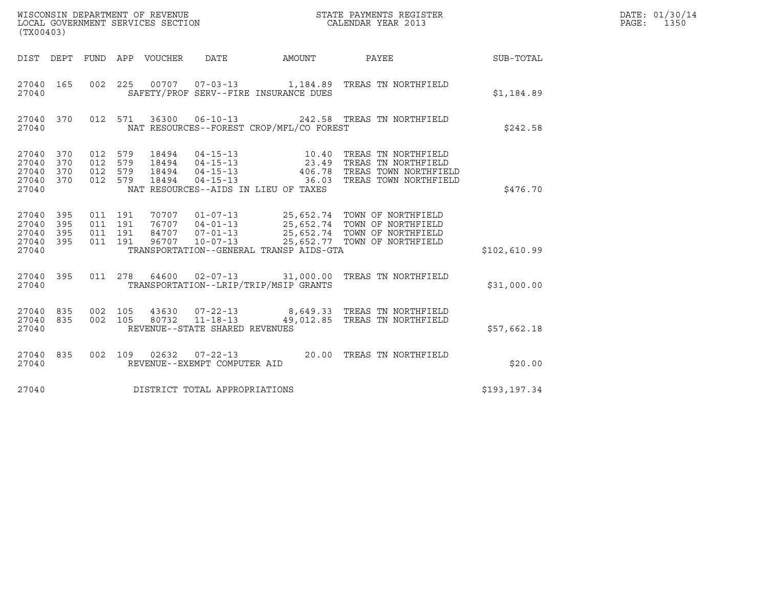| WISCONSIN DEPARTMENT OF REVENUE<br>STATE PAYMENTS REGISTER<br>LOCAL GOVERNMENT SERVICES SECTION<br>CALENDAR YEAR 2013<br>(TX00403) |                   |                                          |                               |                                 |                                |                                          |                                                                                                                                                                                                      |               | DATE: 01/30/14<br>PAGE: 1350 |
|------------------------------------------------------------------------------------------------------------------------------------|-------------------|------------------------------------------|-------------------------------|---------------------------------|--------------------------------|------------------------------------------|------------------------------------------------------------------------------------------------------------------------------------------------------------------------------------------------------|---------------|------------------------------|
|                                                                                                                                    |                   |                                          |                               | DIST DEPT FUND APP VOUCHER DATE |                                |                                          | AMOUNT PAYEE SUB-TOTAL                                                                                                                                                                               |               |                              |
| 27040 165<br>27040                                                                                                                 |                   | 002 225                                  |                               |                                 |                                | SAFETY/PROF SERV--FIRE INSURANCE DUES    | 00707  07-03-13  1,184.89  TREAS TN NORTHFIELD                                                                                                                                                       | \$1,184.89    |                              |
| 27040 370<br>27040                                                                                                                 |                   |                                          |                               |                                 |                                | NAT RESOURCES--FOREST CROP/MFL/CO FOREST | 012 571 36300 06-10-13 242.58 TREAS TN NORTHFIELD                                                                                                                                                    | \$242.58      |                              |
| 27040 370<br>27040<br>27040<br>27040<br>27040                                                                                      | 370<br>370<br>370 | 012 579<br>012 579<br>012 579<br>012 579 |                               |                                 |                                | NAT RESOURCES--AIDS IN LIEU OF TAXES     |                                                                                                                                                                                                      | \$476.70      |                              |
| 27040<br>27040<br>27040<br>27040 395<br>27040                                                                                      | 395<br>395<br>395 | 011 191                                  | 011 191<br>011 191<br>011 191 |                                 |                                | TRANSPORTATION--GENERAL TRANSP AIDS-GTA  | 70707  01-07-13  25,652.74  TOWN OF NORTHFIELD<br>76707  04-01-13  25,652.74  TOWN OF NORTHFIELD<br>84707  07-01-13  25,652.74  TOWN OF NORTHFIELD<br>96707  10-07-13  25,652.77  TOWN OF NORTHFIELD | \$102,610.99  |                              |
| 27040 395<br>27040                                                                                                                 |                   |                                          |                               |                                 |                                | TRANSPORTATION--LRIP/TRIP/MSIP GRANTS    | 011  278  64600  02-07-13  31,000.00 TREAS TN NORTHFIELD                                                                                                                                             | \$31,000.00   |                              |
| 27040 835<br>27040 835<br>27040                                                                                                    |                   | 002 105<br>002 105                       |                               |                                 | REVENUE--STATE SHARED REVENUES |                                          | 43630  07-22-13  8,649.33  TREAS TN NORTHFIELD<br>80732 11-18-13 49,012.85 TREAS TN NORTHFIELD                                                                                                       | \$57,662.18   |                              |
| 27040 835<br>27040                                                                                                                 |                   | 002 109                                  |                               |                                 | REVENUE--EXEMPT COMPUTER AID   |                                          | 02632  07-22-13  20.00 TREAS TN NORTHFIELD                                                                                                                                                           | \$20.00       |                              |
| 27040                                                                                                                              |                   |                                          |                               |                                 | DISTRICT TOTAL APPROPRIATIONS  |                                          |                                                                                                                                                                                                      | \$193, 197.34 |                              |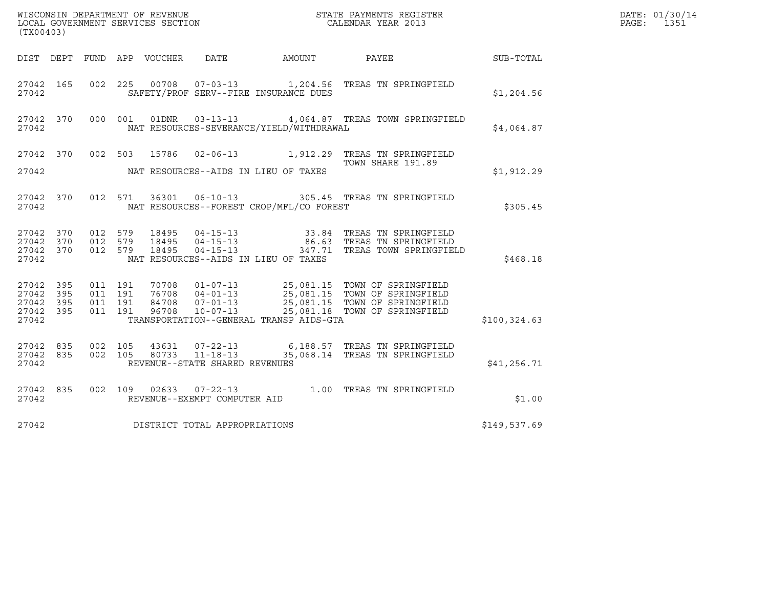| (TX00403)                                                    |                               |                    |                         |                                                              |                                          | $\tt WISCONSIM DEPARTMENT OF REVENUE$ $\tt WISCONMIN SERS REGISTER$ $\tt LOCAL BODAR YEAR$ $2013$                                                                                      |               | DATE: 01/30/14<br>PAGE:<br>1351 |
|--------------------------------------------------------------|-------------------------------|--------------------|-------------------------|--------------------------------------------------------------|------------------------------------------|----------------------------------------------------------------------------------------------------------------------------------------------------------------------------------------|---------------|---------------------------------|
| DIST DEPT                                                    |                               |                    | FUND APP VOUCHER        | DATE                                                         | AMOUNT PAYEE                             |                                                                                                                                                                                        | SUB-TOTAL     |                                 |
| 27042 165<br>27042                                           |                               |                    |                         |                                                              | SAFETY/PROF SERV--FIRE INSURANCE DUES    | 002  225  00708  07-03-13  1,204.56  TREAS TN SPRINGFIELD                                                                                                                              | \$1,204.56    |                                 |
| 27042 370<br>27042                                           |                               | 000 001            |                         |                                                              | NAT RESOURCES-SEVERANCE/YIELD/WITHDRAWAL |                                                                                                                                                                                        | \$4,064.87    |                                 |
| 27042 370                                                    |                               |                    |                         |                                                              |                                          | 002 503 15786 02-06-13 1,912.29 TREAS TN SPRINGFIELD<br>TOWN SHARE 191.89                                                                                                              |               |                                 |
| 27042                                                        |                               |                    |                         |                                                              | NAT RESOURCES--AIDS IN LIEU OF TAXES     |                                                                                                                                                                                        | \$1,912.29    |                                 |
| 27042 370<br>27042                                           |                               | 012 571            |                         |                                                              | NAT RESOURCES--FOREST CROP/MFL/CO FOREST | 36301  06-10-13  305.45  TREAS TN SPRINGFIELD                                                                                                                                          | \$305.45      |                                 |
| 27042 370<br>27042<br>370<br>27042 370<br>27042              | 012 579<br>012 579            | 012 579            | 18495<br>18495<br>18495 |                                                              | NAT RESOURCES--AIDS IN LIEU OF TAXES     | 33.84 TREAS TN SPRINGFIELD<br>04-15-13 33.84 TREAS TN SPRINGFIELD<br>04-15-13 86.63 TREAS TN SPRINGFIELD<br>04-15-13 347.71 TREAS TOWN SPRINGFIEI<br>347.71 TREAS TOWN SPRINGFIELD     | \$468.18      |                                 |
| 27042 395<br>395<br>27042<br>27042 395<br>27042 395<br>27042 | 011 191<br>011 191<br>011 191 | 011 191            | 96708                   | $10 - 07 - 13$                                               | TRANSPORTATION--GENERAL TRANSP AIDS-GTA  | 70708  01-07-13  25,081.15  TOWN OF SPRINGFIELD<br>76708  04-01-13  25,081.15  TOWN OF SPRINGFIELD<br>84708  07-01-13  25,081.15  TOWN OF SPRINGFIELD<br>25,081.18 TOWN OF SPRINGFIELD | \$100, 324.63 |                                 |
| 27042 835<br>27042 835<br>27042                              |                               | 002 105<br>002 105 | 43631<br>80733          | $07 - 22 - 13$<br>11-18-13<br>REVENUE--STATE SHARED REVENUES |                                          | 6,188.57 TREAS TN SPRINGFIELD<br>35,068.14 TREAS TN SPRINGFIELD                                                                                                                        | \$41,256.71   |                                 |
| 27042 835<br>27042                                           |                               |                    |                         | REVENUE--EXEMPT COMPUTER AID                                 |                                          | 002 109 02633 07-22-13 1.00 TREAS TN SPRINGFIELD                                                                                                                                       | \$1.00        |                                 |
| 27042                                                        |                               |                    |                         | DISTRICT TOTAL APPROPRIATIONS                                |                                          |                                                                                                                                                                                        | \$149,537.69  |                                 |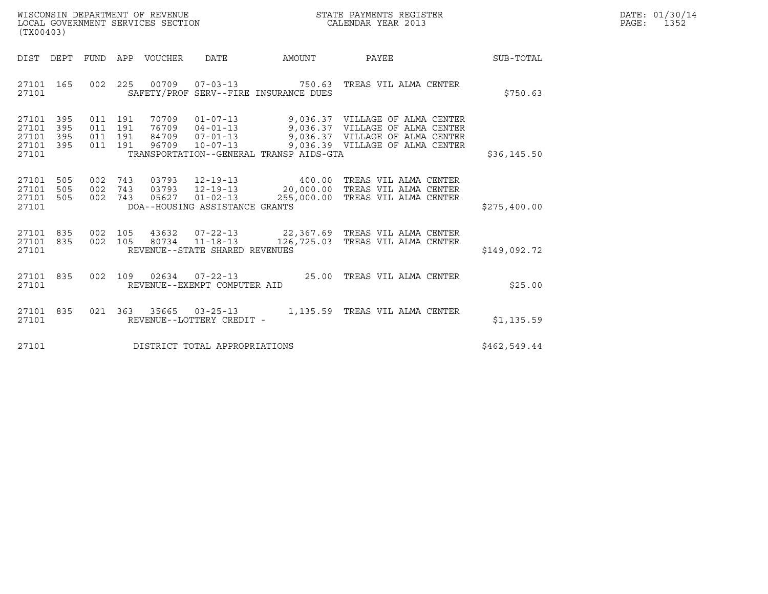| WISCONSIN DEPARTMENT OF REVENUE   | STATE PAYMENTS REGISTER | DATE: 01/30/14 |
|-----------------------------------|-------------------------|----------------|
| LOCAL GOVERNMENT SERVICES SECTION | CALENDAR YEAR 2013      | 1352<br>PAGE:  |

| (TX00403)                                                             |                                               |                                                                                                                                                            |                                     |                                                                                                                                          |              |
|-----------------------------------------------------------------------|-----------------------------------------------|------------------------------------------------------------------------------------------------------------------------------------------------------------|-------------------------------------|------------------------------------------------------------------------------------------------------------------------------------------|--------------|
| DIST<br>DEPT                                                          | FUND                                          | APP<br>VOUCHER<br>DATE                                                                                                                                     | AMOUNT                              | PAYEE                                                                                                                                    | SUB-TOTAL    |
| 165<br>27101<br>27101                                                 | 002                                           | 225<br>00709<br>SAFETY/PROF SERV--FIRE INSURANCE DUES                                                                                                      | 07-03-13 750.63                     | TREAS VIL ALMA CENTER                                                                                                                    | \$750.63     |
| 27101<br>395<br>395<br>27101<br>395<br>27101<br>395<br>27101<br>27101 | 011<br>191<br>011<br>191<br>011<br>191<br>011 | 70709<br>$01 - 07 - 13$<br>$04 - 01 - 13$<br>76709<br>$07 - 01 - 13$<br>84709<br>$10 - 07 - 13$<br>191<br>96709<br>TRANSPORTATION--GENERAL TRANSP AIDS-GTA |                                     | 9,036.37 VILLAGE OF ALMA CENTER<br>9,036.37 VILLAGE OF ALMA CENTER<br>9,036.37 VILLAGE OF ALMA CENTER<br>9,036.39 VILLAGE OF ALMA CENTER | \$36, 145.50 |
| 27101<br>505<br>505<br>27101<br>505<br>27101<br>27101                 | 002<br>002<br>002                             | 743<br>03793 12-19-13<br>03793<br>743<br>05627<br>743<br>DOA--HOUSING ASSISTANCE GRANTS                                                                    | 400.00<br>$01 - 02 - 13$ 255,000.00 | TREAS VIL ALMA CENTER<br>12-19-13   20,000.00 TREAS VIL ALMA CENTER<br>TREAS VIL ALMA CENTER                                             | \$275,400.00 |
| 27101<br>835<br>835<br>27101<br>27101                                 | 002<br>002                                    | 105<br>105<br>80734<br>REVENUE--STATE SHARED REVENUES                                                                                                      | 11-18-13 126,725.03                 | TREAS VIL ALMA CENTER                                                                                                                    | \$149,092.72 |
| 835<br>27101<br>27101                                                 | 002                                           | 109<br>02634<br>$07 - 22 - 13$<br>REVENUE--EXEMPT COMPUTER AID                                                                                             | 25.00                               | TREAS VIL ALMA CENTER                                                                                                                    | \$25.00      |
| 835<br>27101<br>27101                                                 | 021                                           | 363<br>35665<br>$03 - 25 - 13$<br>REVENUE--LOTTERY CREDIT -                                                                                                | 1,135.59                            | TREAS VIL ALMA CENTER                                                                                                                    | \$1,135.59   |
| 27101                                                                 |                                               | DISTRICT TOTAL APPROPRIATIONS                                                                                                                              |                                     |                                                                                                                                          | \$462,549.44 |

(TX00403)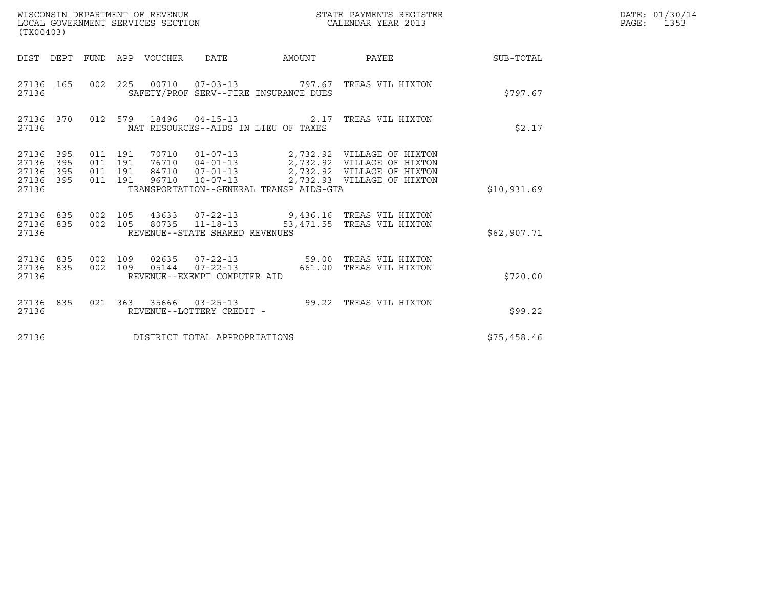| ${\tt WISCONSIM DEPARTMENT OF REVENUE} {\tt NISCONMIN S REGIS:} {\tt LOCALENDAR YEAR 2013}$<br>LOCAL GOVERNMENT SERVICES SECTION<br>(TX00403) |            |                                          |         |                                 |                                |                                         | STATE PAYMENTS REGISTER                                                                                                                                                                |             | DATE: 01/30/14<br>PAGE: 1353 |
|-----------------------------------------------------------------------------------------------------------------------------------------------|------------|------------------------------------------|---------|---------------------------------|--------------------------------|-----------------------------------------|----------------------------------------------------------------------------------------------------------------------------------------------------------------------------------------|-------------|------------------------------|
|                                                                                                                                               |            |                                          |         | DIST DEPT FUND APP VOUCHER DATE |                                |                                         | AMOUNT PAYEE SUB-TOTAL                                                                                                                                                                 |             |                              |
| 27136 165<br>27136                                                                                                                            |            |                                          |         |                                 |                                | SAFETY/PROF SERV--FIRE INSURANCE DUES   | 002 225 00710 07-03-13 797.67 TREAS VIL HIXTON                                                                                                                                         | \$797.67    |                              |
| 27136                                                                                                                                         |            |                                          |         |                                 |                                | NAT RESOURCES--AIDS IN LIEU OF TAXES    | 27136 370 012 579 18496 04-15-13 2.17 TREAS VIL HIXTON                                                                                                                                 | \$2.17      |                              |
| 27136 395<br>27136<br>27136<br>27136 395<br>27136                                                                                             | 395<br>395 | 011 191<br>011 191<br>011 191<br>011 191 |         |                                 |                                | TRANSPORTATION--GENERAL TRANSP AIDS-GTA | 70710  01-07-13  2,732.92  VILLAGE OF HIXTON<br>76710 04-01-13 2,732.92 VILLAGE OF HIXTON<br>84710 07-01-13 2,732.92 VILLAGE OF HIXTON<br>96710  10-07-13  2,732.93  VILLAGE OF HIXTON | \$10,931.69 |                              |
| 27136 835<br>27136 835<br>27136                                                                                                               |            | 002 105<br>002 105                       |         |                                 | REVENUE--STATE SHARED REVENUES |                                         |                                                                                                                                                                                        | \$62,907.71 |                              |
| 27136 835<br>27136 835<br>27136                                                                                                               |            | 002 109                                  | 002 109 |                                 | REVENUE--EXEMPT COMPUTER AID   |                                         |                                                                                                                                                                                        | \$720.00    |                              |
| 27136 835<br>27136                                                                                                                            |            |                                          |         |                                 | REVENUE--LOTTERY CREDIT -      |                                         | 021  363  35666  03-25-13<br>99.22  TREAS VIL HIXTON                                                                                                                                   | \$99.22     |                              |
| 27136                                                                                                                                         |            |                                          |         |                                 | DISTRICT TOTAL APPROPRIATIONS  |                                         |                                                                                                                                                                                        | \$75,458.46 |                              |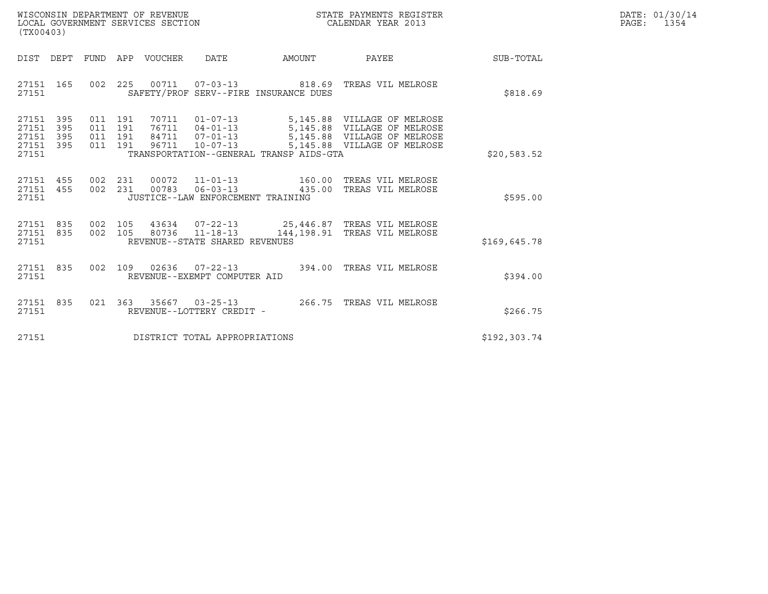| WISCONSIN DEPARTMENT OF REVENUE   | STATE PAYMENTS REGISTER | DATE: 01/30/14 |
|-----------------------------------|-------------------------|----------------|
| LOCAL GOVERNMENT SERVICES SECTION | CALENDAR YEAR 2013      | 1354<br>PAGE:  |

| WISCONSIN DEPARTMENT OF REVENUE<br>LOCAL GOVERNMENT SERVICES SECTION<br>(TX00403)                                                                                                         | STATE PAYMENTS REGISTER<br>CALENDAR YEAR 2013 |              | DATE: 01/30/14<br>$\mathtt{PAGE}$ :<br>1354 |
|-------------------------------------------------------------------------------------------------------------------------------------------------------------------------------------------|-----------------------------------------------|--------------|---------------------------------------------|
| DIST DEPT FUND APP VOUCHER DATE AMOUNT PAYEE                                                                                                                                              |                                               | SUB-TOTAL    |                                             |
| 002  225  00711  07-03-13  818.69  TREAS VIL MELROSE<br>27151 165<br>27151<br>SAFETY/PROF SERV--FIRE INSURANCE DUES                                                                       |                                               | \$818.69     |                                             |
| 011 191<br>27151 395<br>27151<br>395<br>011 191<br>27151<br>395<br>011 191<br>27151 395<br>011 191 96711 10-07-13<br>27151<br>TRANSPORTATION--GENERAL TRANSP AIDS-GTA                     | 70711  01-07-13  5,145.88  VILLAGE OF MELROSE | \$20,583.52  |                                             |
| 002 231 00072 11-01-13 160.00 TREAS VIL MELROSE<br>002 231 00783 06-03-13 435.00 TREAS VIL MELROSE<br>27151 455<br>27151 455<br>27151<br>JUSTICE--LAW ENFORCEMENT TRAINING                |                                               | \$595.00     |                                             |
| 002  105  43634  07-22-13  25,446.87  TREAS VIL MELROSE<br>27151 835<br>27151 835<br>002 105<br>80736  11-18-13  144,198.91  TREAS VIL MELROSE<br>REVENUE--STATE SHARED REVENUES<br>27151 |                                               | \$169,645.78 |                                             |
| 002 109 02636 07-22-13 394.00 TREAS VIL MELROSE<br>27151 835<br>27151<br>REVENUE--EXEMPT COMPUTER AID                                                                                     |                                               | \$394.00     |                                             |
| 021 363 35667 03-25-13 266.75 TREAS VIL MELROSE<br>27151 835<br>27151<br>REVENUE--LOTTERY CREDIT -                                                                                        |                                               | \$266.75     |                                             |
| DISTRICT TOTAL APPROPRIATIONS<br>27151                                                                                                                                                    |                                               | \$192,303.74 |                                             |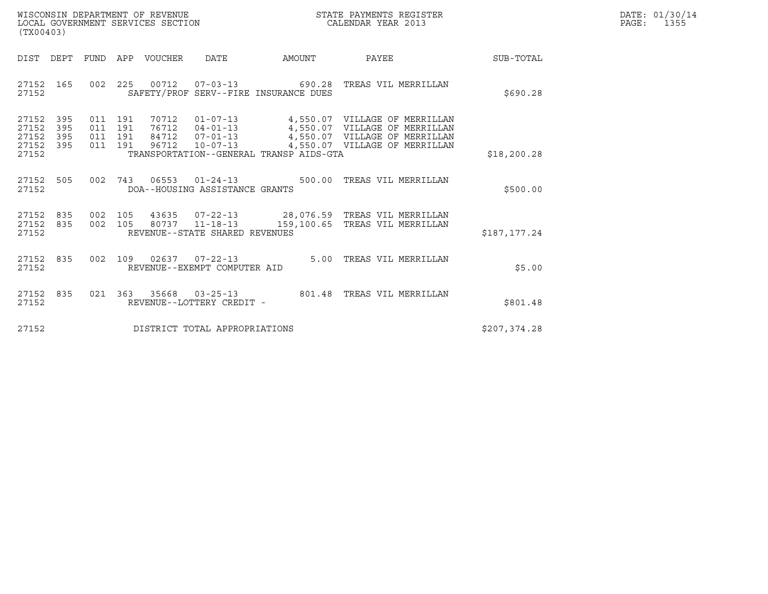| WISCONSIN DEPARTMENT OF REVENUE<br>LOCAL GOVERNMENT SERVICES SECTION<br>(TX00403) | STATE PAYMENTS REGISTER<br>CALENDAR YEAR 2013 | DATE: 01/30/14<br>PAGE:<br>1355 |
|-----------------------------------------------------------------------------------|-----------------------------------------------|---------------------------------|

| (TX00403)                                                                 |                                                                                                                                                 |        |                                                                                                                                     |              |
|---------------------------------------------------------------------------|-------------------------------------------------------------------------------------------------------------------------------------------------|--------|-------------------------------------------------------------------------------------------------------------------------------------|--------------|
| DIST DEPT FUND                                                            | APP VOUCHER DATE                                                                                                                                | AMOUNT | <b>PAYEE</b>                                                                                                                        | SUB-TOTAL    |
| 27152 165<br>27152                                                        | 002 225 00712 07-03-13 690.28 TREAS VIL MERRILLAN<br>SAFETY/PROF SERV--FIRE INSURANCE DUES                                                      |        |                                                                                                                                     | \$690.28     |
| 27152<br>395<br>27152<br>395<br>27152<br>395<br>27152 395<br>011<br>27152 | 011 191<br>011 191<br>011 191 84712 07-01-13<br>191 96712 10-07-13 4,550.07 VILLAGE OF MERRILLAN<br>TRANSPORTATION--GENERAL TRANSP AIDS-GTA     |        | 70712  01-07-13  4,550.07  VILLAGE OF MERRILLAN<br>76712  04-01-13  4,550.07  VILLAGE OF MERRILLAN<br>4,550.07 VILLAGE OF MERRILLAN | \$18, 200.28 |
| 505<br>002<br>27152<br>27152                                              | 743<br>DOA--HOUSING ASSISTANCE GRANTS                                                                                                           |        | 06553  01-24-13  500.00  TREAS VIL MERRILLAN                                                                                        | \$500.00     |
| 835<br>27152<br>835<br>27152<br>27152                                     | 002 105 43635 07-22-13 28,076.59 TREAS VIL MERRILLAN<br>002 105 80737 11-18-13 159,100.65 TREAS VIL MERRILLAN<br>REVENUE--STATE SHARED REVENUES |        |                                                                                                                                     | \$187,177.24 |
| 27152 835<br>27152                                                        | 002 109 02637 07-22-13 5.00 TREAS VIL MERRILLAN<br>REVENUE--EXEMPT COMPUTER AID                                                                 |        |                                                                                                                                     | \$5.00       |
| 27152 835<br>27152                                                        | 021 363 35668 03-25-13 801.48<br>REVENUE--LOTTERY CREDIT -                                                                                      |        | TREAS VIL MERRILLAN                                                                                                                 | \$801.48     |
| 27152                                                                     | DISTRICT TOTAL APPROPRIATIONS                                                                                                                   |        |                                                                                                                                     | \$207,374.28 |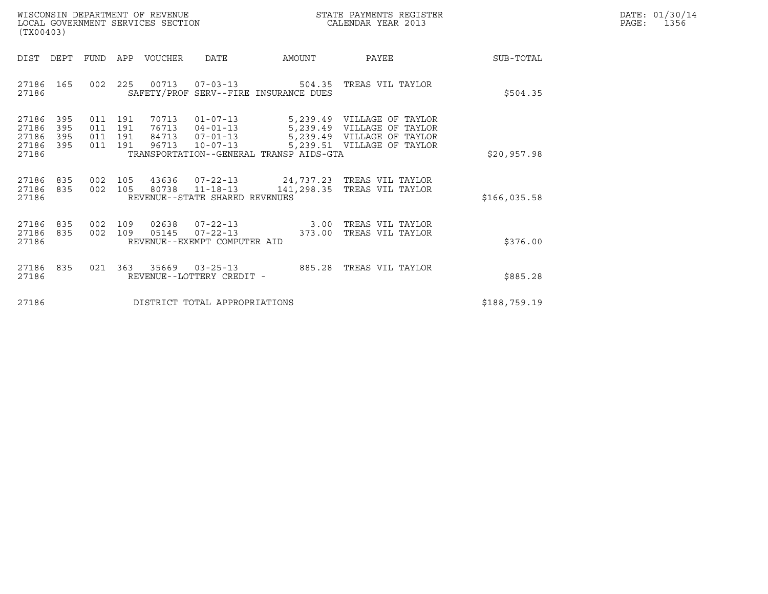| WISCONSIN DEPARTMENT OF REVENUE   | STATE PAYMENTS REGISTER | DATE: 01/30/14 |
|-----------------------------------|-------------------------|----------------|
| LOCAL GOVERNMENT SERVICES SECTION | CALENDAR YEAR 2013      | 1356<br>PAGE:  |

| WISCONSIN DEPARTMENT OF REVENUE<br>LOCAL GOVERNMENT SERVICES SECTION<br>(TX00403) |            |                                  |                                  |                                                                      | STATE PAYMENTS REGISTER<br>CALENDAR YEAR 2013                   |                                                                                                    |              | DATE: 01/30/14<br>PAGE:<br>1356 |
|-----------------------------------------------------------------------------------|------------|----------------------------------|----------------------------------|----------------------------------------------------------------------|-----------------------------------------------------------------|----------------------------------------------------------------------------------------------------|--------------|---------------------------------|
| DEPT<br>DIST                                                                      | FUND       |                                  | APP VOUCHER DATE                 |                                                                      | AMOUNT                                                          | <b>PAYEE</b>                                                                                       | SUB-TOTAL    |                                 |
| 27186 165<br>27186                                                                |            |                                  |                                  |                                                                      | SAFETY/PROF SERV--FIRE INSURANCE DUES                           | 002 225 00713 07-03-13 504.35 TREAS VIL TAYLOR                                                     | \$504.35     |                                 |
| 27186<br>395<br>27186<br>395<br>27186<br>395<br>27186 395<br>27186                | 011<br>011 | 011 191<br>191<br>191<br>011 191 | 70713<br>76713<br>84713<br>96713 | $01 - 07 - 13$<br>$04 - 01 - 13$<br>$07 - 01 - 13$<br>$10 - 07 - 13$ | 5,239.49<br>5,239.49<br>TRANSPORTATION--GENERAL TRANSP AIDS-GTA | 5,239.49 VILLAGE OF TAYLOR<br>VILLAGE OF TAYLOR<br>VILLAGE OF TAYLOR<br>5,239.51 VILLAGE OF TAYLOR | \$20,957.98  |                                 |
| 27186 835<br>27186 835<br>27186                                                   |            | 002 105                          |                                  | 80738 11-18-13<br>REVENUE--STATE SHARED REVENUES                     |                                                                 | 002 105 43636 07-22-13 24,737.23 TREAS VIL TAYLOR<br>141,298.35 TREAS VIL TAYLOR                   | \$166,035.58 |                                 |
| 27186 835<br>27186 835<br>27186                                                   | 002<br>002 | 109                              | 02638<br>109 05145               | REVENUE--EXEMPT COMPUTER AID                                         | $07 - 22 - 13$ 3.00<br>$07 - 22 - 13$ 373.00                    | TREAS VIL TAYLOR<br>TREAS VIL TAYLOR                                                               | \$376.00     |                                 |
| 27186 835<br>27186                                                                |            |                                  |                                  | REVENUE--LOTTERY CREDIT -                                            |                                                                 | 021  363  35669  03-25-13  885.28  TREAS VIL TAYLOR                                                | \$885.28     |                                 |
| 27186                                                                             |            |                                  |                                  | DISTRICT TOTAL APPROPRIATIONS                                        |                                                                 |                                                                                                    | \$188,759.19 |                                 |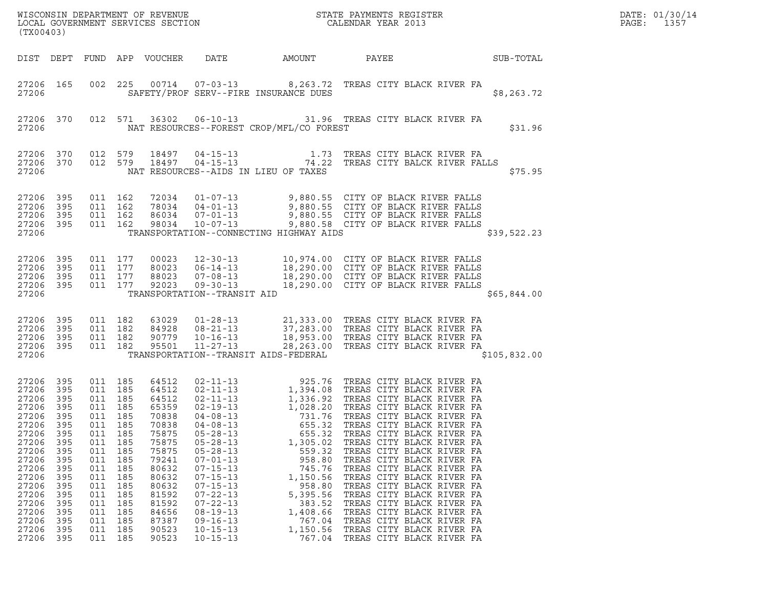| ${\tt WISCONSIN} \begin{tabular}{l} DEPARTMENT OF REVIEW \\ LOCAL BONERNMENT SERVICES SECTION \\ \end{tabular}$<br>(TX00403)                                                |                                                                                                                            |                                                                                                                                                           |                                                                                         |                                                                                                                                                                         |                                                                                                                                                                                                                                                                                              |                                                                                                                                                              |                                                                                                                                                                                                                                                                                                                                                                                                                                                                                                                                                                                                                                           |                  | DATE: 01/30/14<br>PAGE:<br>1357 |
|-----------------------------------------------------------------------------------------------------------------------------------------------------------------------------|----------------------------------------------------------------------------------------------------------------------------|-----------------------------------------------------------------------------------------------------------------------------------------------------------|-----------------------------------------------------------------------------------------|-------------------------------------------------------------------------------------------------------------------------------------------------------------------------|----------------------------------------------------------------------------------------------------------------------------------------------------------------------------------------------------------------------------------------------------------------------------------------------|--------------------------------------------------------------------------------------------------------------------------------------------------------------|-------------------------------------------------------------------------------------------------------------------------------------------------------------------------------------------------------------------------------------------------------------------------------------------------------------------------------------------------------------------------------------------------------------------------------------------------------------------------------------------------------------------------------------------------------------------------------------------------------------------------------------------|------------------|---------------------------------|
| DIST DEPT                                                                                                                                                                   |                                                                                                                            |                                                                                                                                                           |                                                                                         | FUND APP VOUCHER                                                                                                                                                        | DATE                                                                                                                                                                                                                                                                                         | AMOUNT                                                                                                                                                       | PAYEE                                                                                                                                                                                                                                                                                                                                                                                                                                                                                                                                                                                                                                     | <b>SUB-TOTAL</b> |                                 |
| 27206                                                                                                                                                                       | 27206 165                                                                                                                  | 002                                                                                                                                                       |                                                                                         |                                                                                                                                                                         |                                                                                                                                                                                                                                                                                              | SAFETY/PROF SERV--FIRE INSURANCE DUES                                                                                                                        | 225 00714 07-03-13 8,263.72 TREAS CITY BLACK RIVER FA                                                                                                                                                                                                                                                                                                                                                                                                                                                                                                                                                                                     | \$8,263.72       |                                 |
| 27206                                                                                                                                                                       | 27206 370                                                                                                                  |                                                                                                                                                           |                                                                                         | 012 571 36302                                                                                                                                                           |                                                                                                                                                                                                                                                                                              | NAT RESOURCES--FOREST CROP/MFL/CO FOREST                                                                                                                     | 06-10-13 31.96 TREAS CITY BLACK RIVER FA                                                                                                                                                                                                                                                                                                                                                                                                                                                                                                                                                                                                  | \$31.96          |                                 |
| 27206 370<br>27206                                                                                                                                                          | 27206 370                                                                                                                  | 012 579<br>012 579                                                                                                                                        |                                                                                         | 18497<br>18497                                                                                                                                                          |                                                                                                                                                                                                                                                                                              | NAT RESOURCES--AIDS IN LIEU OF TAXES                                                                                                                         | 04-15-13 1.73 TREAS CITY BLACK RIVER FA<br>04-15-13 74.22 TREAS CITY BALCK RIVER FALLS                                                                                                                                                                                                                                                                                                                                                                                                                                                                                                                                                    | \$75.95          |                                 |
| 27206<br>27206<br>27206<br>27206 395<br>27206                                                                                                                               | 395<br>395<br>395                                                                                                          | 011 162<br>011 162<br>011 162                                                                                                                             | 011 162                                                                                 |                                                                                                                                                                         |                                                                                                                                                                                                                                                                                              | TRANSPORTATION--CONNECTING HIGHWAY AIDS                                                                                                                      | 72034  01-07-13  9,880.55  CITY OF BLACK RIVER FALLS<br>78034  04-01-13  9,880.55  CITY OF BLACK RIVER FALLS<br>86034  07-01-13  9,880.55  CITY OF BLACK RIVER FALLS<br>98034  10-07-13  9,880.58  CITY OF BLACK RIVER FALLS                                                                                                                                                                                                                                                                                                                                                                                                              | \$39,522.23      |                                 |
| 27206 395<br>27206<br>27206 395<br>27206 395<br>27206                                                                                                                       | 395                                                                                                                        | 011 177<br>011 177<br>011 177<br>011 177                                                                                                                  |                                                                                         | 00023<br>80023<br>88023<br>92023                                                                                                                                        | TRANSPORTATION--TRANSIT AID                                                                                                                                                                                                                                                                  |                                                                                                                                                              | 12-30-13 10,974.00 CITY OF BLACK RIVER FALLS<br>06-14-13 18,290.00 CITY OF BLACK RIVER FALLS<br>07-08-13 18,290.00 CITY OF BLACK RIVER FALLS<br>09-30-13 18,290.00 CITY OF BLACK RIVER FALLS                                                                                                                                                                                                                                                                                                                                                                                                                                              | \$65,844.00      |                                 |
| 27206<br>27206 395<br>27206 395<br>27206 395<br>27206                                                                                                                       | 395                                                                                                                        | 011 182<br>011 182<br>011 182<br>011 182                                                                                                                  |                                                                                         | 63029<br>84928<br>90779<br>95501                                                                                                                                        | $11 - 27 - 13$                                                                                                                                                                                                                                                                               | TRANSPORTATION--TRANSIT AIDS-FEDERAL                                                                                                                         | 01-28-13 21,333.00 TREAS CITY BLACK RIVER FA<br>08-21-13 37,283.00 TREAS CITY BLACK RIVER FA<br>10-16-13 18,953.00 TREAS CITY BLACK RIVER FA<br>28,263.00 TREAS CITY BLACK RIVER FA                                                                                                                                                                                                                                                                                                                                                                                                                                                       | \$105,832.00     |                                 |
| 27206 395<br>27206<br>27206<br>27206<br>27206<br>27206<br>27206<br>27206<br>27206<br>27206<br>27206<br>27206<br>27206<br>27206<br>27206<br>27206<br>27206<br>27206<br>27206 | 395<br>395<br>395<br>395<br>395<br>395<br>395<br>395<br>395<br>395<br>395<br>395<br>395<br>395<br>395<br>395<br>395<br>395 | 011 185<br>011 185<br>011 185<br>011 185<br>011 185<br>011<br>011<br>011<br>011<br>011<br>011<br>011<br>011<br>011<br>011<br>011<br>011<br>011<br>011 185 | 185<br>185<br>185<br>185<br>185<br>185<br>185<br>185<br>185<br>185<br>185<br>185<br>185 | 64512<br>64512<br>64512<br>65359<br>70838<br>70838<br>75875<br>75875<br>75875<br>79241<br>80632<br>80632<br>80632<br>81592<br>81592<br>84656<br>87387<br>90523<br>90523 | $02 - 11 - 13$<br>$04 - 08 - 13$<br>$04 - 08 - 13$<br>$05 - 28 - 13$<br>$05 - 28 - 13$<br>$05 - 28 - 13$<br>$07 - 01 - 13$<br>$07 - 15 - 13$<br>$07 - 15 - 13$<br>$07 - 15 - 13$<br>$07 - 22 - 13$<br>$07 - 22 - 13$<br>$08 - 19 - 13$<br>$09 - 16 - 13$<br>$10 - 15 - 13$<br>$10 - 15 - 13$ | 731.76<br>655.32<br>655.32<br>1,305.02<br>559.32<br>958.80<br>745.76<br>1,150.56<br>958.80<br>5,395.56<br>383.52<br>1,408.66<br>767.04<br>1,150.56<br>767.04 | 925.76 TREAS CITY BLACK RIVER FA<br>02-11-13<br>02-11-13<br>1,394.08 TREAS CITY BLACK RIVER FA<br>02-11-13<br>1,028.20 TREAS CITY BLACK RIVER FA<br>1,028.20 TREAS CITY BLACK RIVER FA<br>TREAS CITY BLACK RIVER FA<br>TREAS CITY BLACK RIVER FA<br>TREAS CITY BLACK RIVER FA<br>TREAS CITY BLACK RIVER FA<br>TREAS CITY BLACK RIVER FA<br>TREAS CITY BLACK RIVER FA<br>TREAS CITY BLACK RIVER FA<br>TREAS CITY BLACK RIVER FA<br>TREAS CITY BLACK RIVER FA<br>TREAS CITY BLACK RIVER FA<br>TREAS CITY BLACK RIVER FA<br>TREAS CITY BLACK RIVER FA<br>TREAS CITY BLACK RIVER FA<br>TREAS CITY BLACK RIVER FA<br>TREAS CITY BLACK RIVER FA |                  |                                 |